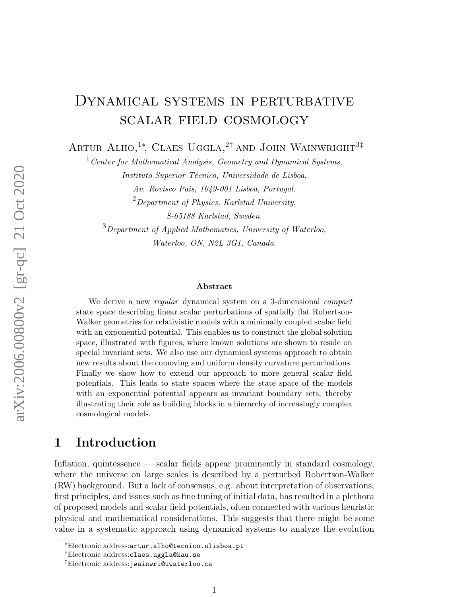# DYNAMICAL SYSTEMS IN PERTURBATIVE scalar field cosmology

ARTUR ALHO,<sup>1</sup><sup>\*</sup>, CLAES UGGLA,<sup>2†</sup> AND JOHN WAINWRIGHT<sup>3‡</sup>

 $1$  Center for Mathematical Analysis, Geometry and Dynamical Systems,

Instituto Superior Técnico, Universidade de Lisboa,

Av. Rovisco Pais, 1049-001 Lisboa, Portugal.  $^{2}$ Department of Physics, Karlstad University, S-65188 Karlstad, Sweden.

 $3$ Department of Applied Mathematics, University of Waterloo, Waterloo, ON, N2L 3G1, Canada.

#### Abstract

We derive a new regular dynamical system on a 3-dimensional *compact* state space describing linear scalar perturbations of spatially flat Robertson-Walker geometries for relativistic models with a minimally coupled scalar field with an exponential potential. This enables us to construct the global solution space, illustrated with figures, where known solutions are shown to reside on special invariant sets. We also use our dynamical systems approach to obtain new results about the comoving and uniform density curvature perturbations. Finally we show how to extend our approach to more general scalar field potentials. This leads to state spaces where the state space of the models with an exponential potential appears as invariant boundary sets, thereby illustrating their role as building blocks in a hierarchy of increasingly complex cosmological models.

# 1 Introduction

Inflation, quintessence — scalar fields appear prominently in standard cosmology, where the universe on large scales is described by a perturbed Robertson-Walker (RW) background. But a lack of consensus, e.g. about interpretation of observations, first principles, and issues such as fine tuning of initial data, has resulted in a plethora of proposed models and scalar field potentials, often connected with various heuristic physical and mathematical considerations. This suggests that there might be some value in a systematic approach using dynamical systems to analyze the evolution

<sup>∗</sup>Electronic address:artur.alho@tecnico.ulisboa.pt

<sup>†</sup>Electronic address:claes.uggla@kau.se

<sup>‡</sup>Electronic address:jwainwri@uwaterloo.ca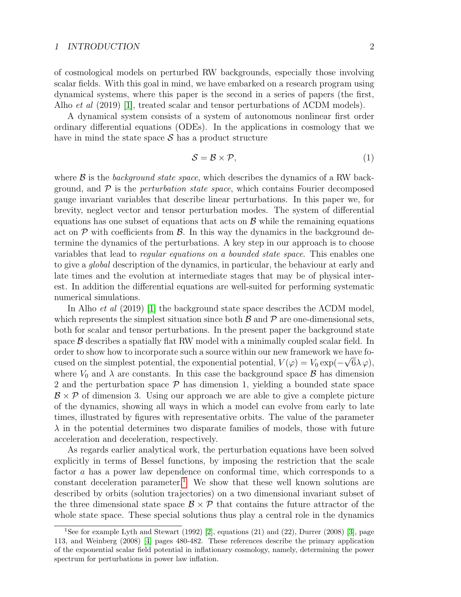#### 1 INTRODUCTION 2

of cosmological models on perturbed RW backgrounds, especially those involving scalar fields. With this goal in mind, we have embarked on a research program using dynamical systems, where this paper is the second in a series of papers (the first, Alho *et al* (2019) [\[1\]](#page-26-0), treated scalar and tensor perturbations of  $\Lambda$ CDM models).

A dynamical system consists of a system of autonomous nonlinear first order ordinary differential equations (ODEs). In the applications in cosmology that we have in mind the state space  $\mathcal S$  has a product structure

$$
S = \mathcal{B} \times \mathcal{P},\tag{1}
$$

where  $\beta$  is the background state space, which describes the dynamics of a RW background, and  $\mathcal P$  is the *perturbation state space*, which contains Fourier decomposed gauge invariant variables that describe linear perturbations. In this paper we, for brevity, neglect vector and tensor perturbation modes. The system of differential equations has one subset of equations that acts on  $\beta$  while the remaining equations act on  $\mathcal P$  with coefficients from  $\mathcal B$ . In this way the dynamics in the background determine the dynamics of the perturbations. A key step in our approach is to choose variables that lead to regular equations on a bounded state space. This enables one to give a global description of the dynamics, in particular, the behaviour at early and late times and the evolution at intermediate stages that may be of physical interest. In addition the differential equations are well-suited for performing systematic numerical simulations.

In Alho *et al* (2019) [\[1\]](#page-26-0) the background state space describes the  $\Lambda$ CDM model, which represents the simplest situation since both  $\beta$  and  $\beta$  are one-dimensional sets, both for scalar and tensor perturbations. In the present paper the background state space  $\beta$  describes a spatially flat RW model with a minimally coupled scalar field. In order to show how to incorporate such a source within our new framework we have focused on the simplest potential, the exponential potential,  $V(\varphi) = V_0 \exp(-\sqrt{6\lambda \varphi})$ , where  $V_0$  and  $\lambda$  are constants. In this case the background space  $\beta$  has dimension 2 and the perturbation space  $P$  has dimension 1, yielding a bounded state space  $\mathcal{B} \times \mathcal{P}$  of dimension 3. Using our approach we are able to give a complete picture of the dynamics, showing all ways in which a model can evolve from early to late times, illustrated by figures with representative orbits. The value of the parameter  $\lambda$  in the potential determines two disparate families of models, those with future acceleration and deceleration, respectively.

As regards earlier analytical work, the perturbation equations have been solved explicitly in terms of Bessel functions, by imposing the restriction that the scale factor a has a power law dependence on conformal time, which corresponds to a constant deceleration parameter.<sup>[1](#page-1-0)</sup> We show that these well known solutions are described by orbits (solution trajectories) on a two dimensional invariant subset of the three dimensional state space  $\mathcal{B} \times \mathcal{P}$  that contains the future attractor of the whole state space. These special solutions thus play a central role in the dynamics

<span id="page-1-0"></span><sup>&</sup>lt;sup>1</sup>See for example Lyth and Stewart (1992) [\[2\]](#page-26-1), equations (21) and (22), Durrer (2008) [\[3\]](#page-26-2), page 113, and Weinberg (2008) [\[4\]](#page-26-3) pages 480-482. These references describe the primary application of the exponential scalar field potential in inflationary cosmology, namely, determining the power spectrum for perturbations in power law inflation.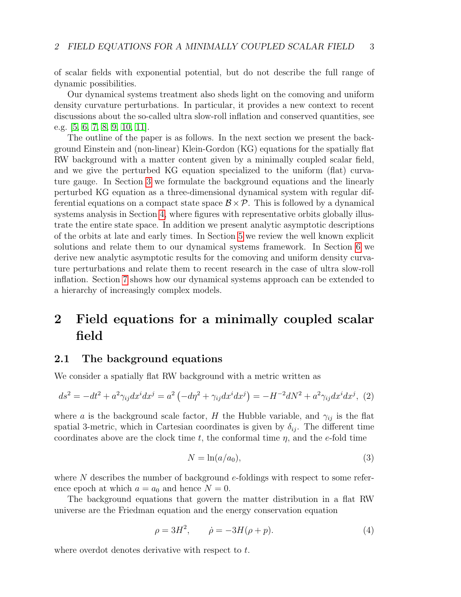of scalar fields with exponential potential, but do not describe the full range of dynamic possibilities.

Our dynamical systems treatment also sheds light on the comoving and uniform density curvature perturbations. In particular, it provides a new context to recent discussions about the so-called ultra slow-roll inflation and conserved quantities, see e.g. [\[5,](#page-26-4) [6,](#page-26-5) [7,](#page-26-6) [8,](#page-26-7) [9,](#page-26-8) [10,](#page-27-0) [11\]](#page-27-1).

The outline of the paper is as follows. In the next section we present the background Einstein and (non-linear) Klein-Gordon (KG) equations for the spatially flat RW background with a matter content given by a minimally coupled scalar field, and we give the perturbed KG equation specialized to the uniform (flat) curvature gauge. In Section [3](#page-5-0) we formulate the background equations and the linearly perturbed KG equation as a three-dimensional dynamical system with regular differential equations on a compact state space  $\mathcal{B} \times \mathcal{P}$ . This is followed by a dynamical systems analysis in Section [4,](#page-8-0) where figures with representative orbits globally illustrate the entire state space. In addition we present analytic asymptotic descriptions of the orbits at late and early times. In Section [5](#page-17-0) we review the well known explicit solutions and relate them to our dynamical systems framework. In Section [6](#page-20-0) we derive new analytic asymptotic results for the comoving and uniform density curvature perturbations and relate them to recent research in the case of ultra slow-roll inflation. Section [7](#page-23-0) shows how our dynamical systems approach can be extended to a hierarchy of increasingly complex models.

# 2 Field equations for a minimally coupled scalar field

### 2.1 The background equations

We consider a spatially flat RW background with a metric written as

$$
ds^{2} = -dt^{2} + a^{2}\gamma_{ij}dx^{i}dx^{j} = a^{2}\left(-d\eta^{2} + \gamma_{ij}dx^{i}dx^{j}\right) = -H^{-2}dN^{2} + a^{2}\gamma_{ij}dx^{i}dx^{j},
$$
 (2)

where a is the background scale factor, H the Hubble variable, and  $\gamma_{ij}$  is the flat spatial 3-metric, which in Cartesian coordinates is given by  $\delta_{ij}$ . The different time coordinates above are the clock time t, the conformal time  $\eta$ , and the e-fold time

$$
N = \ln(a/a_0),\tag{3}
$$

where  $N$  describes the number of background e-foldings with respect to some reference epoch at which  $a = a_0$  and hence  $N = 0$ .

The background equations that govern the matter distribution in a flat RW universe are the Friedman equation and the energy conservation equation

<span id="page-2-0"></span>
$$
\rho = 3H^2, \qquad \dot{\rho} = -3H(\rho + p). \tag{4}
$$

where overdot denotes derivative with respect to t.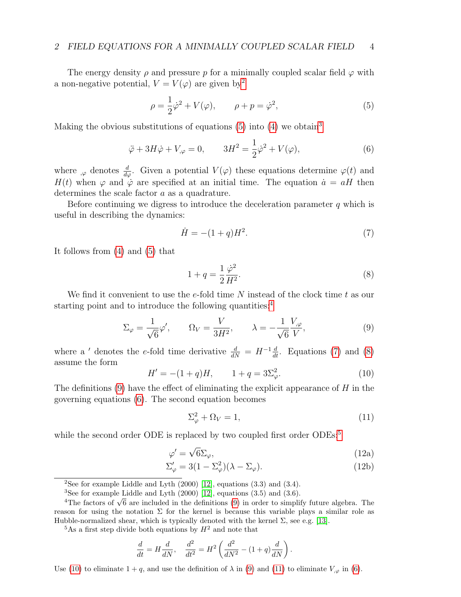The energy density  $\rho$  and pressure p for a minimally coupled scalar field  $\varphi$  with a non-negative potential,  $V = V(\varphi)$  are given by<sup>[2](#page-3-0)</sup>

<span id="page-3-1"></span>
$$
\rho = \frac{1}{2}\dot{\varphi}^2 + V(\varphi), \qquad \rho + p = \dot{\varphi}^2,\tag{5}
$$

Making the obvious substitutions of equations [\(5\)](#page-3-1) into [\(4\)](#page-2-0) we obtain<sup>[3](#page-3-2)</sup>

<span id="page-3-7"></span>
$$
\ddot{\varphi} + 3H\dot{\varphi} + V_{,\varphi} = 0, \qquad 3H^2 = \frac{1}{2}\dot{\varphi}^2 + V(\varphi), \tag{6}
$$

where  $\varphi_{\varphi}$  denotes  $\frac{d}{d\varphi}$ . Given a potential  $V(\varphi)$  these equations determine  $\varphi(t)$  and H(t) when  $\varphi$  and  $\dot{\varphi}$  are specified at an initial time. The equation  $\dot{a} = aH$  then determines the scale factor a as a quadrature.

Before continuing we digress to introduce the deceleration parameter  $q$  which is useful in describing the dynamics:

<span id="page-3-4"></span>
$$
\dot{H} = -(1+q)H^2.
$$
 (7)

It follows from [\(4\)](#page-2-0) and [\(5\)](#page-3-1) that

<span id="page-3-5"></span>
$$
1 + q = \frac{1}{2} \frac{\dot{\varphi}^2}{H^2}.
$$
\n(8)

We find it convenient to use the e-fold time N instead of the clock time t as our starting point and to introduce the following quantities: $4$ 

<span id="page-3-6"></span>
$$
\Sigma_{\varphi} = \frac{1}{\sqrt{6}} \varphi', \qquad \Omega_V = \frac{V}{3H^2}, \qquad \lambda = -\frac{1}{\sqrt{6}} \frac{V_{,\varphi}}{V}, \tag{9}
$$

where a ' denotes the e-fold time derivative  $\frac{d}{dN} = H^{-1}\frac{d}{dt}$ . Equations [\(7\)](#page-3-4) and [\(8\)](#page-3-5) assume the form

<span id="page-3-9"></span>
$$
H' = -(1+q)H, \qquad 1+q = 3\Sigma_{\varphi}^2. \tag{10}
$$

The definitions  $(9)$  have the effect of eliminating the explicit appearance of H in the governing equations [\(6\)](#page-3-7). The second equation becomes

<span id="page-3-13"></span><span id="page-3-12"></span><span id="page-3-11"></span><span id="page-3-10"></span>
$$
\Sigma_{\varphi}^2 + \Omega_V = 1,\tag{11}
$$

while the second order ODE is replaced by two coupled first order ODEs:<sup>[5](#page-3-8)</sup>

$$
\varphi' = \sqrt{6}\Sigma_{\varphi},\tag{12a}
$$

$$
\Sigma_{\varphi}' = 3(1 - \Sigma_{\varphi}^2)(\lambda - \Sigma_{\varphi}).\tag{12b}
$$

$$
\frac{d}{dt} = H\frac{d}{dN}, \quad \frac{d^2}{dt^2} = H^2 \left(\frac{d^2}{dN^2} - (1+q)\frac{d}{dN}\right).
$$

Use [\(10\)](#page-3-9) to eliminate  $1 + q$ , and use the definition of  $\lambda$  in [\(9\)](#page-3-6) and [\(11\)](#page-3-10) to eliminate  $V_{,\varphi}$  in [\(6\)](#page-3-7).

<span id="page-3-0"></span><sup>&</sup>lt;sup>2</sup>See for example Liddle and Lyth  $(2000)$  [\[12\]](#page-27-2), equations  $(3.3)$  and  $(3.4)$ .

<span id="page-3-3"></span><span id="page-3-2"></span><sup>&</sup>lt;sup>3</sup>See for example Liddle and Lyth  $(2000)$  [\[12\]](#page-27-2), equations  $(3.5)$  and  $(3.6)$ .

 $^{4}$ The factors of  $\sqrt{6}$  are included in the definitions [\(9\)](#page-3-6) in order to simplify future algebra. The <sup>4</sup>The factors of  $\sqrt{6}$  are included in the definitions (9) in order to simplify future algebra. The reason for using the notation  $\Sigma$  for the kernel is because this variable plays a similar role as Hubble-normalized shear, which is typically denoted with the kernel  $\Sigma$ , see e.g. [\[13\]](#page-27-3).

<span id="page-3-8"></span> $5As$  a first step divide both equations by  $H^2$  and note that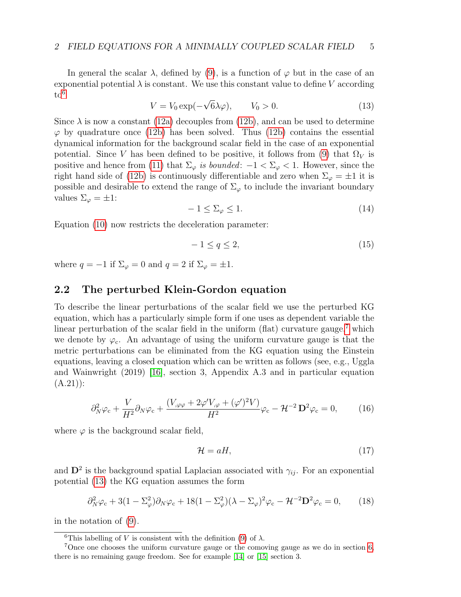In general the scalar  $\lambda$ , defined by [\(9\)](#page-3-6), is a function of  $\varphi$  but in the case of an exponential potential  $\lambda$  is constant. We use this constant value to define V according  $to^6$  $to^6$ √

<span id="page-4-2"></span>
$$
V = V_0 \exp(-\sqrt{6\lambda}\varphi), \qquad V_0 > 0. \tag{13}
$$

Since  $\lambda$  is now a constant [\(12a\)](#page-3-11) decouples from [\(12b\)](#page-3-12), and can be used to determine  $\varphi$  by quadrature once [\(12b\)](#page-3-12) has been solved. Thus (12b) contains the essential dynamical information for the background scalar field in the case of an exponential potential. Since V has been defined to be positive, it follows from [\(9\)](#page-3-6) that  $\Omega_V$  is positive and hence from [\(11\)](#page-3-10) that  $\Sigma_{\varphi}$  is bounded:  $-1 < \Sigma_{\varphi} < 1$ . However, since the right hand side of [\(12b\)](#page-3-12) is continuously differentiable and zero when  $\Sigma_{\varphi} = \pm 1$  it is possible and desirable to extend the range of  $\Sigma_{\varphi}$  to include the invariant boundary values  $\Sigma_{\varphi} = \pm 1$ :

$$
-1 \le \Sigma_{\varphi} \le 1. \tag{14}
$$

Equation [\(10\)](#page-3-9) now restricts the deceleration parameter:

$$
-1 \le q \le 2,\tag{15}
$$

where  $q = -1$  if  $\Sigma_{\varphi} = 0$  and  $q = 2$  if  $\Sigma_{\varphi} = \pm 1$ .

## 2.2 The perturbed Klein-Gordon equation

To describe the linear perturbations of the scalar field we use the perturbed KG equation, which has a particularly simple form if one uses as dependent variable the linear perturbation of the scalar field in the uniform (flat) curvature gauge,<sup>[7](#page-4-1)</sup> which we denote by  $\varphi_c$ . An advantage of using the uniform curvature gauge is that the metric perturbations can be eliminated from the KG equation using the Einstein equations, leaving a closed equation which can be written as follows (see, e.g., Uggla and Wainwright (2019) [\[16\]](#page-27-4), section 3, Appendix A.3 and in particular equation  $(A.21)$ :

<span id="page-4-5"></span>
$$
\partial_N^2 \varphi_c + \frac{V}{H^2} \partial_N \varphi_c + \frac{(V_{,\varphi\varphi} + 2\varphi' V_{,\varphi} + (\varphi')^2 V)}{H^2} \varphi_c - \mathcal{H}^{-2} \mathbf{D}^2 \varphi_c = 0, \qquad (16)
$$

where  $\varphi$  is the background scalar field,

<span id="page-4-4"></span>
$$
\mathcal{H} = aH,\tag{17}
$$

and  $\mathbf{D}^2$  is the background spatial Laplacian associated with  $\gamma_{ij}$ . For an exponential potential [\(13\)](#page-4-2) the KG equation assumes the form

<span id="page-4-3"></span>
$$
\partial_N^2 \varphi_c + 3(1 - \Sigma_\varphi^2) \partial_N \varphi_c + 18(1 - \Sigma_\varphi^2)(\lambda - \Sigma_\varphi)^2 \varphi_c - \mathcal{H}^{-2} \mathbf{D}^2 \varphi_c = 0, \qquad (18)
$$

in the notation of [\(9\)](#page-3-6).

<span id="page-4-1"></span><span id="page-4-0"></span><sup>&</sup>lt;sup>6</sup>This labelling of V is consistent with the definition [\(9\)](#page-3-6) of  $\lambda$ .

<sup>7</sup>Once one chooses the uniform curvature gauge or the comoving gauge as we do in section [6,](#page-20-0) there is no remaining gauge freedom. See for example [\[14\]](#page-27-5) or [\[15\]](#page-27-6) section 3.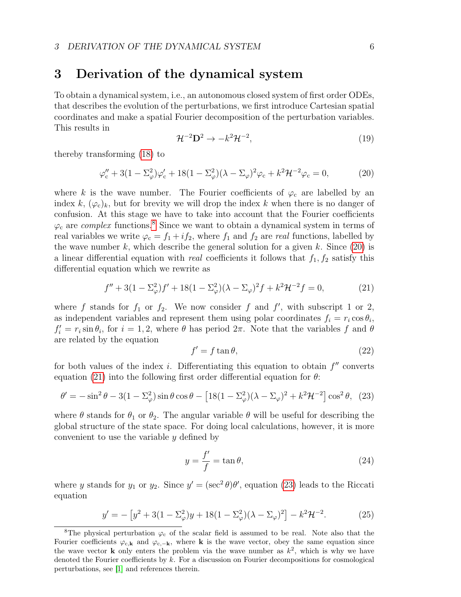# <span id="page-5-0"></span>3 Derivation of the dynamical system

To obtain a dynamical system, i.e., an autonomous closed system of first order ODEs, that describes the evolution of the perturbations, we first introduce Cartesian spatial coordinates and make a spatial Fourier decomposition of the perturbation variables. This results in

$$
\mathcal{H}^{-2} \mathbf{D}^2 \to -k^2 \mathcal{H}^{-2},\tag{19}
$$

thereby transforming [\(18\)](#page-4-3) to

<span id="page-5-2"></span>
$$
\varphi_c'' + 3(1 - \Sigma_\varphi^2)\varphi_c' + 18(1 - \Sigma_\varphi^2)(\lambda - \Sigma_\varphi)^2\varphi_c + k^2 \mathcal{H}^{-2}\varphi_c = 0, \tag{20}
$$

where k is the wave number. The Fourier coefficients of  $\varphi_c$  are labelled by an index k,  $(\varphi_c)_k$ , but for brevity we will drop the index k when there is no danger of confusion. At this stage we have to take into account that the Fourier coefficients  $\varphi_c$  are *complex* functions.<sup>[8](#page-5-1)</sup> Since we want to obtain a dynamical system in terms of real variables we write  $\varphi_c = f_1 + i f_2$ , where  $f_1$  and  $f_2$  are real functions, labelled by the wave number k, which describe the general solution for a given k. Since  $(20)$  is a linear differential equation with *real* coefficients it follows that  $f_1, f_2$  satisfy this differential equation which we rewrite as

<span id="page-5-3"></span>
$$
f'' + 3(1 - \Sigma_{\varphi}^2)f' + 18(1 - \Sigma_{\varphi}^2)(\lambda - \Sigma_{\varphi})^2 f + k^2 \mathcal{H}^{-2} f = 0,
$$
 (21)

where f stands for  $f_1$  or  $f_2$ . We now consider f and f', with subscript 1 or 2, as independent variables and represent them using polar coordinates  $f_i = r_i \cos \theta_i$ ,  $f_i' = r_i \sin \theta_i$ , for  $i = 1, 2$ , where  $\theta$  has period  $2\pi$ . Note that the variables f and  $\theta$ are related by the equation

$$
f' = f \tan \theta,\tag{22}
$$

for both values of the index i. Differentiating this equation to obtain  $f''$  converts equation [\(21\)](#page-5-3) into the following first order differential equation for  $\theta$ :

<span id="page-5-4"></span>
$$
\theta' = -\sin^2 \theta - 3(1 - \Sigma_\varphi^2)\sin \theta \cos \theta - \left[18(1 - \Sigma_\varphi^2)(\lambda - \Sigma_\varphi)^2 + k^2 \mathcal{H}^{-2}\right] \cos^2 \theta, \tag{23}
$$

where  $\theta$  stands for  $\theta_1$  or  $\theta_2$ . The angular variable  $\theta$  will be useful for describing the global structure of the state space. For doing local calculations, however, it is more convenient to use the variable  $y$  defined by

<span id="page-5-6"></span>
$$
y = \frac{f'}{f} = \tan \theta,\tag{24}
$$

where y stands for  $y_1$  or  $y_2$ . Since  $y' = (\sec^2 \theta)\theta'$ , equation [\(23\)](#page-5-4) leads to the Riccati equation

<span id="page-5-5"></span>
$$
y' = -[y^2 + 3(1 - \Sigma_{\varphi}^2)y + 18(1 - \Sigma_{\varphi}^2)(\lambda - \Sigma_{\varphi})^2] - k^2 \mathcal{H}^{-2}.
$$
 (25)

<span id="page-5-1"></span><sup>&</sup>lt;sup>8</sup>The physical perturbation  $\varphi_c$  of the scalar field is assumed to be real. Note also that the Fourier coefficients  $\varphi_{c,k}$  and  $\varphi_{c,-k}$ , where k is the wave vector, obey the same equation since the wave vector **k** only enters the problem via the wave number as  $k^2$ , which is why we have denoted the Fourier coefficients by  $k$ . For a discussion on Fourier decompositions for cosmological perturbations, see [\[1\]](#page-26-0) and references therein.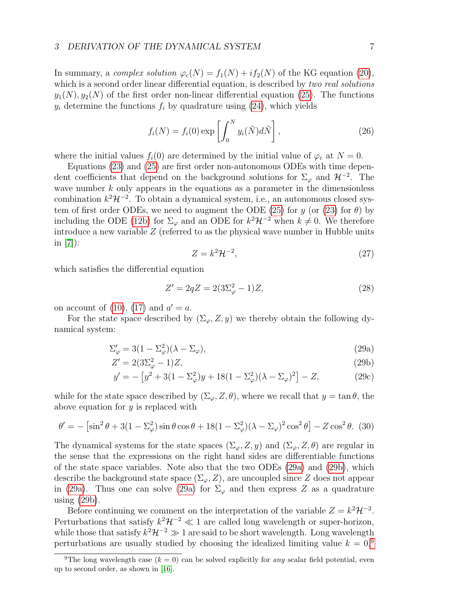In summary, a complex solution  $\varphi_c(N) = f_1(N) + if_2(N)$  of the KG equation [\(20\)](#page-5-2), which is a second order linear differential equation, is described by two real solutions  $y_1(N), y_2(N)$  of the first order non-linear differential equation [\(25\)](#page-5-5). The functions  $y_i$  determine the functions  $f_i$  by quadrature using [\(24\)](#page-5-6), which yields

<span id="page-6-5"></span>
$$
f_i(N) = f_i(0) \exp\left[\int_0^N y_i(\tilde{N}) d\tilde{N}\right],
$$
\n(26)

where the initial values  $f_i(0)$  are determined by the initial value of  $\varphi_c$  at  $N = 0$ .

Equations [\(23\)](#page-5-4) and [\(25\)](#page-5-5) are first order non-autonomous ODEs with time dependent coefficients that depend on the background solutions for  $\Sigma_{\varphi}$  and  $\mathcal{H}^{-2}$ . The wave number  $k$  only appears in the equations as a parameter in the dimensionless combination  $k^2\mathcal{H}^{-2}$ . To obtain a dynamical system, i.e., an autonomous closed sys-tem of first order ODEs, we need to augment the ODE [\(25\)](#page-5-5) for y (or [\(23\)](#page-5-4) for  $\theta$ ) by including the ODE [\(12b\)](#page-3-12) for  $\Sigma_{\varphi}$  and an ODE for  $k^2\mathcal{H}^{-2}$  when  $k\neq 0$ . We therefore introduce a new variable Z (referred to as the physical wave number in Hubble units in [\[7\]](#page-26-6)):

<span id="page-6-1"></span><span id="page-6-0"></span>
$$
Z = k^2 \mathcal{H}^{-2},\tag{27}
$$

which satisfies the differential equation

<span id="page-6-4"></span>
$$
Z' = 2qZ = 2(3\Sigma_{\varphi}^2 - 1)Z,
$$
\n(28)

on account of [\(10\)](#page-3-9), [\(17\)](#page-4-4) and  $a' = a$ .

For the state space described by  $(\Sigma_{\varphi}, Z, y)$  we thereby obtain the following dynamical system:

<span id="page-6-3"></span>
$$
\Sigma_{\varphi}' = 3(1 - \Sigma_{\varphi}^2)(\lambda - \Sigma_{\varphi}),\tag{29a}
$$

$$
Z' = 2(3\Sigma_{\varphi}^2 - 1)Z,\tag{29b}
$$

$$
y' = -[y^2 + 3(1 - \Sigma_{\varphi}^2)y + 18(1 - \Sigma_{\varphi}^2)(\lambda - \Sigma_{\varphi})^2] - Z,
$$
 (29c)

while for the state space described by  $(\Sigma_{\varphi}, Z, \theta)$ , where we recall that  $y = \tan \theta$ , the above equation for  $y$  is replaced with

$$
\theta' = -\left[\sin^2\theta + 3(1 - \Sigma_\varphi^2)\sin\theta\cos\theta + 18(1 - \Sigma_\varphi^2)(\lambda - \Sigma_\varphi)^2\cos^2\theta\right] - Z\cos^2\theta. \tag{30}
$$

The dynamical systems for the state spaces  $(\Sigma_{\varphi}, Z, y)$  and  $(\Sigma_{\varphi}, Z, \theta)$  are regular in the sense that the expressions on the right hand sides are differentiable functions of the state space variables. Note also that the two ODEs [\(29a\)](#page-6-0) and [\(29b\)](#page-6-1), which describe the background state space  $(\Sigma_{\varphi}, Z)$ , are uncoupled since Z does not appear in [\(29a\)](#page-6-0). Thus one can solve (29a) for  $\Sigma_{\varphi}$  and then express Z as a quadrature using [\(29b\)](#page-6-1).

Before continuing we comment on the interpretation of the variable  $Z = k^2 \mathcal{H}^{-2}$ . Perturbations that satisfy  $k^2 \mathcal{H}^{-2} \ll 1$  are called long wavelength or super-horizon, while those that satisfy  $k^2 \mathcal{H}^{-2} \gg 1$  are said to be short wavelength. Long wavelength perturbations are usually studied by choosing the idealized limiting value  $k = 0$ ,<sup>[9](#page-6-2)</sup>

<span id="page-6-2"></span><sup>&</sup>lt;sup>9</sup>The long wavelength case ( $k = 0$ ) can be solved explicitly for any scalar field potential, even up to second order, as shown in [\[16\]](#page-27-4).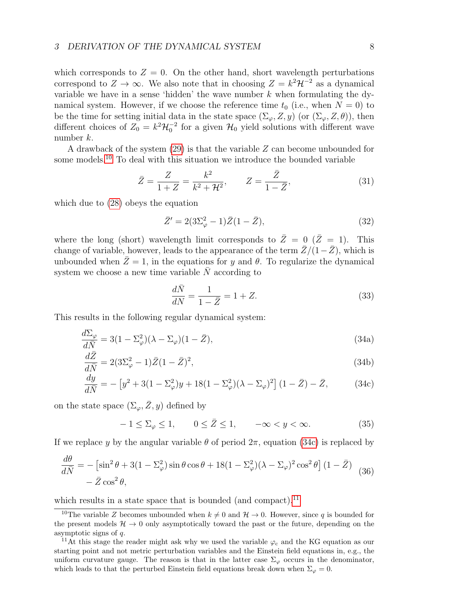which corresponds to  $Z = 0$ . On the other hand, short wavelength perturbations correspond to  $Z \to \infty$ . We also note that in choosing  $Z = k^2 \mathcal{H}^{-2}$  as a dynamical variable we have in a sense 'hidden' the wave number  $k$  when formulating the dynamical system. However, if we choose the reference time  $t_0$  (i.e., when  $N = 0$ ) to be the time for setting initial data in the state space  $(\Sigma_{\varphi}, Z, y)$  (or  $(\Sigma_{\varphi}, Z, \theta)$ ), then different choices of  $Z_0 = k^2 \mathcal{H}_0^{-2}$  for a given  $\mathcal{H}_0$  yield solutions with different wave number k.

A drawback of the system [\(29\)](#page-6-3) is that the variable Z can become unbounded for some models.[10](#page-7-0) To deal with this situation we introduce the bounded variable

<span id="page-7-8"></span>
$$
\bar{Z} = \frac{Z}{1+Z} = \frac{k^2}{k^2 + \mathcal{H}^2}, \qquad Z = \frac{\bar{Z}}{1-\bar{Z}},
$$
(31)

which due to [\(28\)](#page-6-4) obeys the equation

$$
\bar{Z}' = 2(3\Sigma_{\varphi}^{2} - 1)\bar{Z}(1 - \bar{Z}),
$$
\n(32)

where the long (short) wavelength limit corresponds to  $\overline{Z}=0$  ( $\overline{Z}=1$ ). This change of variable, however, leads to the appearance of the term  $\bar{Z}/(1-\bar{Z})$ , which is unbounded when  $\bar{Z}=1$ , in the equations for y and  $\theta$ . To regularize the dynamical system we choose a new time variable  $\overline{N}$  according to

<span id="page-7-6"></span><span id="page-7-5"></span><span id="page-7-3"></span><span id="page-7-1"></span>
$$
\frac{d\bar{N}}{dN} = \frac{1}{1 - \bar{Z}} = 1 + Z.
$$
\n(33)

This results in the following regular dynamical system:

$$
\frac{d\Sigma_{\varphi}}{d\bar{N}} = 3(1 - \Sigma_{\varphi}^2)(\lambda - \Sigma_{\varphi})(1 - \bar{Z}),\tag{34a}
$$

$$
\frac{d\bar{Z}}{d\bar{N}} = 2(3\Sigma_{\varphi}^{2} - 1)\bar{Z}(1 - \bar{Z})^{2},\tag{34b}
$$

$$
\frac{dy}{d\bar{N}} = -[y^2 + 3(1 - \Sigma_{\varphi}^2)y + 18(1 - \Sigma_{\varphi}^2)(\lambda - \Sigma_{\varphi})^2](1 - \bar{Z}) - \bar{Z},
$$
(34c)

on the state space  $(\Sigma_{\varphi}, \bar{Z}, y)$  defined by

<span id="page-7-7"></span>
$$
-1 \le \Sigma_{\varphi} \le 1, \qquad 0 \le \bar{Z} \le 1, \qquad -\infty < y < \infty. \tag{35}
$$

If we replace y by the angular variable  $\theta$  of period  $2\pi$ , equation [\(34c\)](#page-7-1) is replaced by

<span id="page-7-4"></span>
$$
\frac{d\theta}{d\bar{N}} = -\left[\sin^2\theta + 3(1 - \Sigma_\varphi^2)\sin\theta\cos\theta + 18(1 - \Sigma_\varphi^2)(\lambda - \Sigma_\varphi)^2\cos^2\theta\right](1 - \bar{Z})
$$
  

$$
- \bar{Z}\cos^2\theta,
$$
 (36)

which results in a state space that is bounded (and compact).<sup>[11](#page-7-2)</sup>

<span id="page-7-0"></span><sup>&</sup>lt;sup>10</sup>The variable Z becomes unbounded when  $k \neq 0$  and  $\mathcal{H} \rightarrow 0$ . However, since q is bounded for the present models  $H \to 0$  only asymptotically toward the past or the future, depending on the asymptotic signs of q.

<span id="page-7-2"></span><sup>&</sup>lt;sup>11</sup>At this stage the reader might ask why we used the variable  $\varphi_c$  and the KG equation as our starting point and not metric perturbation variables and the Einstein field equations in, e.g., the uniform curvature gauge. The reason is that in the latter case  $\Sigma_{\varphi}$  occurs in the denominator, which leads to that the perturbed Einstein field equations break down when  $\Sigma_{\varphi} = 0$ .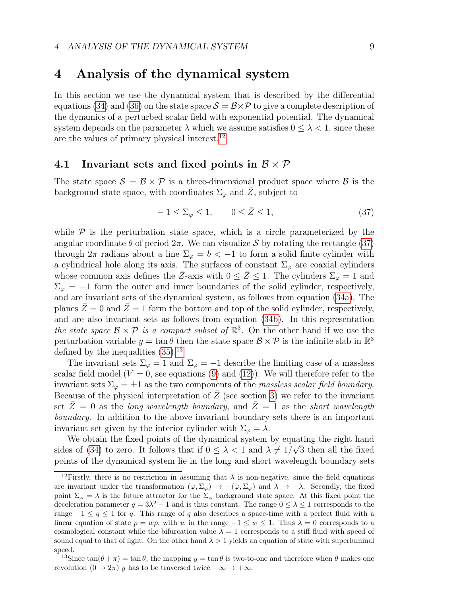## <span id="page-8-0"></span>4 Analysis of the dynamical system

In this section we use the dynamical system that is described by the differential equations [\(34\)](#page-7-3) and [\(36\)](#page-7-4) on the state space  $S = \mathcal{B} \times \mathcal{P}$  to give a complete description of the dynamics of a perturbed scalar field with exponential potential. The dynamical system depends on the parameter  $\lambda$  which we assume satisfies  $0 \leq \lambda < 1$ , since these are the values of primary physical interest.[12](#page-8-1)

### 4.1 Invariant sets and fixed points in  $\mathcal{B} \times \mathcal{P}$

The state space  $\mathcal{S} = \mathcal{B} \times \mathcal{P}$  is a three-dimensional product space where  $\mathcal{B}$  is the background state space, with coordinates  $\Sigma_{\varphi}$  and Z, subject to

<span id="page-8-2"></span>
$$
-1 \le \Sigma_{\varphi} \le 1, \qquad 0 \le \bar{Z} \le 1,\tag{37}
$$

while  $P$  is the perturbation state space, which is a circle parameterized by the angular coordinate  $\theta$  of period  $2\pi$ . We can visualize S by rotating the rectangle [\(37\)](#page-8-2) through  $2\pi$  radians about a line  $\Sigma_{\varphi} = b < -1$  to form a solid finite cylinder with a cylindrical hole along its axis. The surfaces of constant  $\Sigma_{\varphi}$  are coaxial cylinders whose common axis defines the  $\bar{Z}$ -axis with  $0 \le \bar{Z} \le 1$ . The cylinders  $\Sigma_{\varphi} = 1$  and  $\Sigma_{\varphi} = -1$  form the outer and inner boundaries of the solid cylinder, respectively, and are invariant sets of the dynamical system, as follows from equation [\(34a\)](#page-7-5). The planes  $\bar{Z}=0$  and  $\bar{Z}=1$  form the bottom and top of the solid cylinder, respectively, and are also invariant sets as follows from equation [\(34b\)](#page-7-6). In this representation the state space  $\mathcal{B} \times \mathcal{P}$  is a compact subset of  $\mathbb{R}^3$ . On the other hand if we use the perturbation variable  $y = \tan \theta$  then the state space  $\mathcal{B} \times \mathcal{P}$  is the infinite slab in  $\mathbb{R}^3$ defined by the inequalities  $(35).^{13}$  $(35).^{13}$  $(35).^{13}$  $(35).^{13}$ 

The invariant sets  $\Sigma_{\varphi} = 1$  and  $\Sigma_{\varphi} = -1$  describe the limiting case of a massless scalar field model ( $V = 0$ , see equations [\(9\)](#page-3-6) and [\(12\)](#page-3-13)). We will therefore refer to the invariant sets  $\Sigma_{\varphi} = \pm 1$  as the two components of the *massless scalar field boundary*. Because of the physical interpretation of  $Z$  (see section [3\)](#page-5-0) we refer to the invariant set  $\overline{Z}=0$  as the long wavelength boundary, and  $\overline{Z}=1$  as the short wavelength boundary. In addition to the above invariant boundary sets there is an important invariant set given by the interior cylinder with  $\Sigma_{\varphi} = \lambda$ .

We obtain the fixed points of the dynamical system by equating the right hand sides of [\(34\)](#page-7-3) to zero. It follows that if  $0 \leq \lambda < 1$  and  $\lambda \neq 1/\sqrt{3}$  then all the fixed points of the dynamical system lie in the long and short wavelength boundary sets

<span id="page-8-1"></span><sup>&</sup>lt;sup>12</sup>Firstly, there is no restriction in assuming that  $\lambda$  is non-negative, since the field equations are invariant under the transformation  $(\varphi, \Sigma_{\varphi}) \to -(\varphi, \Sigma_{\varphi})$  and  $\lambda \to -\lambda$ . Secondly, the fixed point  $\Sigma_{\varphi} = \lambda$  is the future attractor for the  $\Sigma_{\varphi}$  background state space. At this fixed point the deceleration parameter  $q = 3\lambda^2 - 1$  and is thus constant. The range  $0 \leq \lambda \leq 1$  corresponds to the range  $-1 \le q \le 1$  for q. This range of q also describes a space-time with a perfect fluid with a linear equation of state  $p = w\rho$ , with w in the range  $-1 \leq w \leq 1$ . Thus  $\lambda = 0$  corresponds to a cosmological constant while the bifurcation value  $\lambda = 1$  corresponds to a stiff fluid with speed of sound equal to that of light. On the other hand  $\lambda > 1$  yields an equation of state with superluminal speed.

<span id="page-8-3"></span><sup>&</sup>lt;sup>13</sup>Since  $\tan(\theta + \pi) = \tan \theta$ , the mapping  $y = \tan \theta$  is two-to-one and therefore when  $\theta$  makes one revolution  $(0 \to 2\pi)$  y has to be traversed twice  $-\infty \to +\infty$ .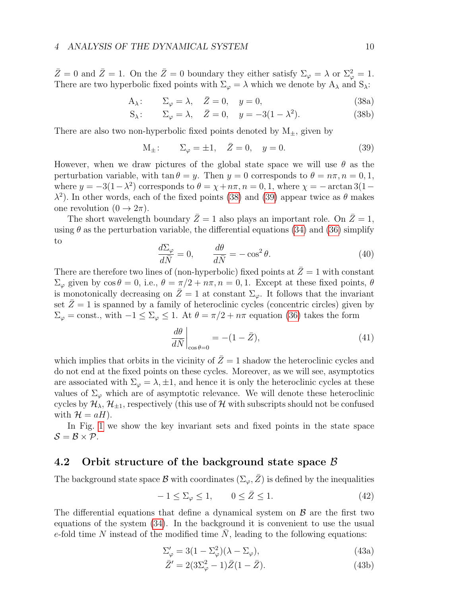$\bar{Z}=0$  and  $\bar{Z}=1$ . On the  $\bar{Z}=0$  boundary they either satisfy  $\Sigma_{\varphi}=\lambda$  or  $\Sigma_{\varphi}^2=1$ . There are two hyperbolic fixed points with  $\Sigma_{\varphi} = \lambda$  which we denote by  $A_{\lambda}$  and  $S_{\lambda}$ :

$$
A_{\lambda}: \qquad \Sigma_{\varphi} = \lambda, \quad \bar{Z} = 0, \quad y = 0,
$$
\n(38a)

$$
S_{\lambda}: \qquad \Sigma_{\varphi} = \lambda, \quad \bar{Z} = 0, \quad y = -3(1 - \lambda^2). \tag{38b}
$$

There are also two non-hyperbolic fixed points denoted by  $M_{\pm}$ , given by

<span id="page-9-1"></span><span id="page-9-0"></span>
$$
M_{\pm}
$$
:  $\Sigma_{\varphi} = \pm 1, \quad \bar{Z} = 0, \quad y = 0.$  (39)

However, when we draw pictures of the global state space we will use  $\theta$  as the perturbation variable, with  $\tan \theta = y$ . Then  $y = 0$  corresponds to  $\theta = n\pi$ ,  $n = 0, 1$ , where  $y = -3(1 - \lambda^2)$  corresponds to  $\theta = \chi + n\pi, n = 0, 1$ , where  $\chi = -\arctan 3(1 - \lambda^2)$  $\lambda^2$ ). In other words, each of the fixed points [\(38\)](#page-9-0) and [\(39\)](#page-9-1) appear twice as  $\theta$  makes one revolution  $(0 \rightarrow 2\pi)$ .

The short wavelength boundary  $\bar{Z}=1$  also plays an important role. On  $\bar{Z}=1$ , using  $\theta$  as the perturbation variable, the differential equations [\(34\)](#page-7-3) and [\(36\)](#page-7-4) simplify to

$$
\frac{d\Sigma_{\varphi}}{d\bar{N}} = 0, \qquad \frac{d\theta}{d\bar{N}} = -\cos^2\theta. \tag{40}
$$

There are therefore two lines of (non-hyperbolic) fixed points at  $\overline{Z}=1$  with constant  $\Sigma_{\varphi}$  given by  $\cos \theta = 0$ , i.e.,  $\theta = \pi/2 + n\pi$ ,  $n = 0, 1$ . Except at these fixed points,  $\theta$ is monotonically decreasing on  $Z=1$  at constant  $\Sigma_{\varphi}$ . It follows that the invariant set  $\overline{Z}=1$  is spanned by a family of heteroclinic cycles (concentric circles) given by  $\Sigma_{\varphi} = \text{const.}$ , with  $-1 \leq \Sigma_{\varphi} \leq 1$ . At  $\theta = \pi/2 + n\pi$  equation [\(36\)](#page-7-4) takes the form

$$
\left. \frac{d\theta}{d\bar{N}} \right|_{\cos\theta=0} = -(1 - \bar{Z}),\tag{41}
$$

which implies that orbits in the vicinity of  $\bar{Z}=1$  shadow the heteroclinic cycles and do not end at the fixed points on these cycles. Moreover, as we will see, asymptotics are associated with  $\Sigma_{\varphi} = \lambda, \pm 1$ , and hence it is only the heteroclinic cycles at these values of  $\Sigma_{\varphi}$  which are of asymptotic relevance. We will denote these heteroclinic cycles by  $\mathcal{H}_{\lambda}, \mathcal{H}_{+1}$ , respectively (this use of H with subscripts should not be confused with  $\mathcal{H} = aH$ ).

In Fig. [1](#page-10-0) we show the key invariant sets and fixed points in the state space  $S = B \times P$ .

## 4.2 Orbit structure of the background state space B

The background state space B with coordinates  $(\Sigma_{\varphi}, \bar{Z})$  is defined by the inequalities

<span id="page-9-2"></span>
$$
-1 \le \Sigma_{\varphi} \le 1, \qquad 0 \le \bar{Z} \le 1. \tag{42}
$$

The differential equations that define a dynamical system on  $\beta$  are the first two equations of the system [\(34\)](#page-7-3). In the background it is convenient to use the usual e-fold time N instead of the modified time  $\overline{N}$ , leading to the following equations:

$$
\Sigma_{\varphi}' = 3(1 - \Sigma_{\varphi}^2)(\lambda - \Sigma_{\varphi}),\tag{43a}
$$

<span id="page-9-3"></span>
$$
\bar{Z}' = 2(3\Sigma_{\varphi}^{2} - 1)\bar{Z}(1 - \bar{Z}).
$$
\n(43b)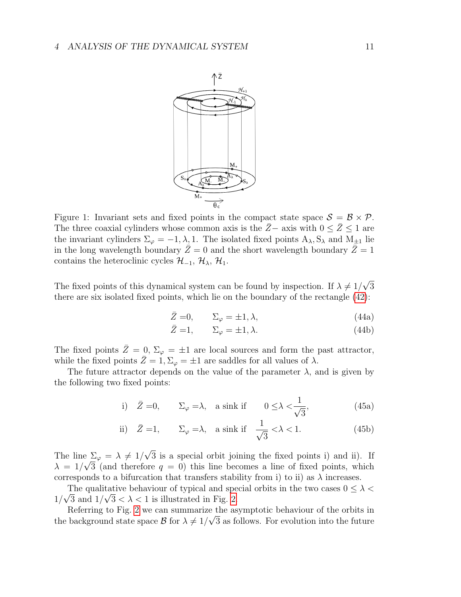

<span id="page-10-0"></span>Figure 1: Invariant sets and fixed points in the compact state space  $S = \mathcal{B} \times \mathcal{P}$ . The three coaxial cylinders whose common axis is the  $\overline{Z}$ − axis with  $0 \le \overline{Z} \le 1$  are the invariant cylinders  $\Sigma_{\varphi} = -1, \lambda, 1$ . The isolated fixed points  $A_{\lambda}, S_{\lambda}$  and  $M_{\pm 1}$  lie in the long wavelength boundary  $\bar{Z}=0$  and the short wavelength boundary  $\bar{Z}=1$ contains the heteroclinic cycles  $\mathcal{H}_{-1}$ ,  $\mathcal{H}_{\lambda}$ ,  $\mathcal{H}_{1}$ .

The fixed points of this dynamical system can be found by inspection. If  $\lambda \neq 1/$ √ 3 there are six isolated fixed points, which lie on the boundary of the rectangle [\(42\)](#page-9-2):

$$
\bar{Z} = 0, \qquad \Sigma_{\varphi} = \pm 1, \lambda, \tag{44a}
$$

$$
\bar{Z} = 1, \qquad \Sigma_{\varphi} = \pm 1, \lambda. \tag{44b}
$$

The fixed points  $\bar{Z}=0$ ,  $\Sigma_{\varphi}=\pm 1$  are local sources and form the past attractor, while the fixed points  $\bar{Z} = 1, \Sigma_{\varphi} = \pm 1$  are saddles for all values of  $\lambda$ .

The future attractor depends on the value of the parameter  $\lambda$ , and is given by the following two fixed points:

i) 
$$
\bar{Z} = 0
$$
,  $\Sigma_{\varphi} = \lambda$ , a sink if  $0 \le \lambda < \frac{1}{\sqrt{3}}$ , (45a)

ii) 
$$
\bar{Z} = 1
$$
,  $\Sigma_{\varphi} = \lambda$ , a sink if  $\frac{1}{\sqrt{3}} < \lambda < 1$ . (45b)

The line  $\Sigma_{\varphi} = \lambda \neq 1/$ √  $\sum_{\varphi} \varphi = \lambda \neq 1/\sqrt{3}$  is a special orbit joining the fixed points i) and ii). If  $\lambda = 1/\sqrt{3}$  (and therefore  $q = 0$ ) this line becomes a line of fixed points, which corresponds to a bifurcation that transfers stability from i) to ii) as  $\lambda$  increases.

The qualitative behaviour of typical and special orbits in the two cases  $0 \leq \lambda < \sqrt{\epsilon}$  $1/\sqrt{3}$  and  $1/\sqrt{3} < \lambda < 1$  is illustrated in Fig. [2.](#page-11-0)

Referring to Fig. [2](#page-11-0) we can summarize the asymptotic behaviour of the orbits in the background state space  $\mathcal{B}$  for  $\lambda \neq 1/\sqrt{3}$  as follows. For evolution into the future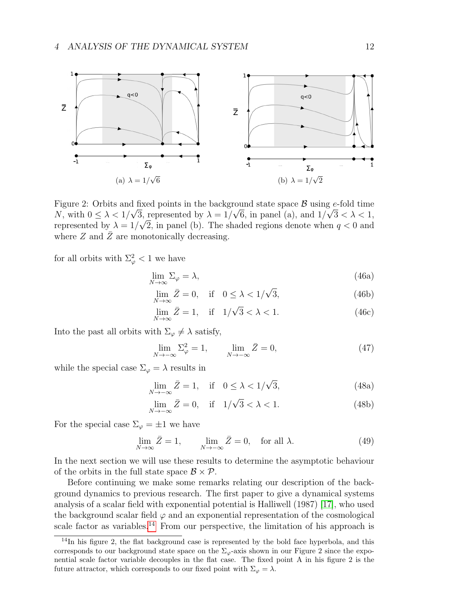

<span id="page-11-0"></span>Figure 2: Orbits and fixed points in the background state space  $\mathcal{B}$  using e-fold time N, with  $0 \leq \lambda < 1/\sqrt{3}$ , represented by  $\lambda = 1/\sqrt{6}$ , in panel (a), and  $1/\sqrt{3} < \lambda < 1$ , represented by  $\lambda = 1/\sqrt{2}$ , in panel (b). The shaded regions denote when  $q < 0$  and where  $Z$  and  $\overline{Z}$  are monotonically decreasing.

for all orbits with  $\Sigma^2_{\varphi} < 1$  we have

<span id="page-11-2"></span>
$$
\lim_{N \to \infty} \Sigma_{\varphi} = \lambda,\tag{46a}
$$

$$
\lim_{N \to \infty} \bar{Z} = 0, \quad \text{if} \quad 0 \le \lambda < 1/\sqrt{3},\tag{46b}
$$

$$
\lim_{N \to \infty} \bar{Z} = 1, \quad \text{if} \quad 1/\sqrt{3} < \lambda < 1. \tag{46c}
$$

Into the past all orbits with  $\Sigma_{\varphi} \neq \lambda$  satisfy,

<span id="page-11-4"></span><span id="page-11-3"></span>
$$
\lim_{N \to -\infty} \Sigma_{\varphi}^2 = 1, \qquad \lim_{N \to -\infty} \bar{Z} = 0,
$$
\n(47)

while the special case  $\Sigma_{\varphi} = \lambda$  results in

$$
\lim_{N \to -\infty} \bar{Z} = 1, \quad \text{if} \quad 0 \le \lambda < 1/\sqrt{3},\tag{48a}
$$

$$
\lim_{N \to -\infty} \bar{Z} = 0, \quad \text{if} \quad 1/\sqrt{3} < \lambda < 1. \tag{48b}
$$

For the special case  $\Sigma_{\varphi} = \pm 1$  we have

<span id="page-11-5"></span>
$$
\lim_{N \to \infty} \bar{Z} = 1, \qquad \lim_{N \to -\infty} \bar{Z} = 0, \quad \text{for all } \lambda. \tag{49}
$$

In the next section we will use these results to determine the asymptotic behaviour of the orbits in the full state space  $\mathcal{B} \times \mathcal{P}$ .

Before continuing we make some remarks relating our description of the background dynamics to previous research. The first paper to give a dynamical systems analysis of a scalar field with exponential potential is Halliwell (1987) [\[17\]](#page-27-7), who used the background scalar field  $\varphi$  and an exponential representation of the cosmological scale factor as variables.<sup>[14](#page-11-1)</sup> From our perspective, the limitation of his approach is

<span id="page-11-1"></span> $14$ In his figure 2, the flat background case is represented by the bold face hyperbola, and this corresponds to our background state space on the  $\Sigma_{\varphi}$ -axis shown in our Figure 2 since the exponential scale factor variable decouples in the flat case. The fixed point A in his figure 2 is the future attractor, which corresponds to our fixed point with  $\Sigma_{\varphi} = \lambda$ .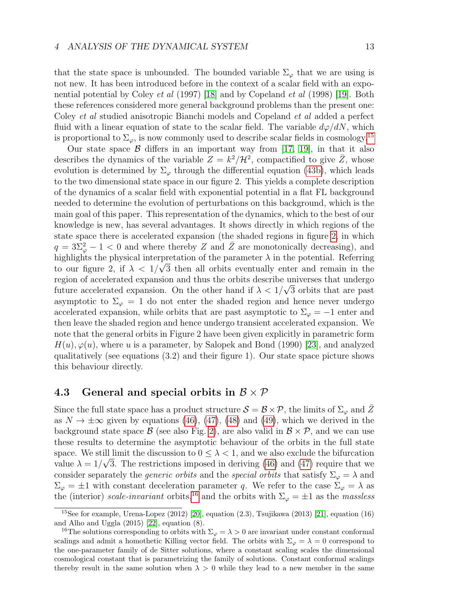that the state space is unbounded. The bounded variable  $\Sigma_{\varphi}$  that we are using is not new. It has been introduced before in the context of a scalar field with an exponential potential by Coley et al (1997) [\[18\]](#page-27-8) and by Copeland et al (1998) [\[19\]](#page-27-9). Both these references considered more general background problems than the present one: Coley et al studied anisotropic Bianchi models and Copeland et al added a perfect fluid with a linear equation of state to the scalar field. The variable  $d\varphi/dN$ , which is proportional to  $\Sigma_{\varphi}$ , is now commonly used to describe scalar fields in cosmology.<sup>[15](#page-12-0)</sup>

Our state space  $\beta$  differs in an important way from [\[17,](#page-27-7) [19\]](#page-27-9), in that it also describes the dynamics of the variable  $Z = k^2 / \mathcal{H}^2$ , compactified to give  $\overline{Z}$ , whose evolution is determined by  $\Sigma_{\varphi}$  through the differential equation [\(43b\)](#page-9-3), which leads to the two dimensional state space in our figure 2. This yields a complete description of the dynamics of a scalar field with exponential potential in a flat FL background needed to determine the evolution of perturbations on this background, which is the main goal of this paper. This representation of the dynamics, which to the best of our knowledge is new, has several advantages. It shows directly in which regions of the state space there is accelerated expansion (the shaded regions in figure [2,](#page-11-0) in which  $q = 3\bar{\Sigma}_{\varphi}^2 - 1 < 0$  and where thereby Z and  $\bar{Z}$  are monotonically decreasing), and highlights the physical interpretation of the parameter  $\lambda$  in the potential. Referring to our figure 2, if  $\lambda < 1/\sqrt{3}$  then all orbits eventually enter and remain in the region of accelerated expansion and thus the orbits describe universes that undergo future accelerated expansion. On the other hand if  $\lambda < 1/\sqrt{3}$  orbits that are past asymptotic to  $\Sigma_{\varphi} = 1$  do not enter the shaded region and hence never undergo accelerated expansion, while orbits that are past asymptotic to  $\Sigma_{\varphi} = -1$  enter and then leave the shaded region and hence undergo transient accelerated expansion. We note that the general orbits in Figure 2 have been given explicitly in parametric form  $H(u), \varphi(u)$ , where u is a parameter, by Salopek and Bond (1990) [\[23\]](#page-27-10), and analyzed qualitatively (see equations (3.2) and their figure 1). Our state space picture shows this behaviour directly.

### 4.3 General and special orbits in  $\mathcal{B} \times \mathcal{P}$

Since the full state space has a product structure  $S = \mathcal{B} \times \mathcal{P}$ , the limits of  $\Sigma_{\varphi}$  and  $\bar{Z}$ as  $N \to \pm \infty$  given by equations [\(46\)](#page-11-2), [\(47\)](#page-11-3), [\(48\)](#page-11-4) and [\(49\)](#page-11-5), which we derived in the background state space  $\mathcal{B}$  (see also Fig. [2\)](#page-11-0), are also valid in  $\mathcal{B} \times \mathcal{P}$ , and we can use these results to determine the asymptotic behaviour of the orbits in the full state space. We still limit the discussion to  $0 \leq \lambda < 1$ , and we also exclude the bifurcation value  $\lambda = 1/\sqrt{3}$ . The restrictions imposed in deriving [\(46\)](#page-11-2) and [\(47\)](#page-11-3) require that we consider separately the *generic orbits* and the *special orbits* that satisfy  $\Sigma_{\varphi} = \lambda$  and  $\Sigma_{\varphi} = \pm 1$  with constant deceleration parameter q. We refer to the case  $\Sigma_{\varphi} = \lambda$  as the (interior) scale-invariant orbits,<sup>[16](#page-12-1)</sup> and the orbits with  $\Sigma_{\varphi} = \pm 1$  as the massless

<span id="page-12-0"></span><sup>&</sup>lt;sup>15</sup>See for example, Urena-Lopez (2012) [\[20\]](#page-27-11), equation  $(2.3)$ , Tsujikawa (2013) [\[21\]](#page-27-12), equation (16) and Alho and Uggla (2015) [\[22\]](#page-27-13), equation (8).

<span id="page-12-1"></span><sup>&</sup>lt;sup>16</sup>The solutions corresponding to orbits with  $\Sigma_{\varphi} = \lambda > 0$  are invariant under constant conformal scalings and admit a homothetic Killing vector field. The orbits with  $\Sigma_{\varphi} = \lambda = 0$  correspond to the one-parameter family of de Sitter solutions, where a constant scaling scales the dimensional cosmological constant that is parametrizing the family of solutions. Constant conformal scalings thereby result in the same solution when  $\lambda > 0$  while they lead to a new member in the same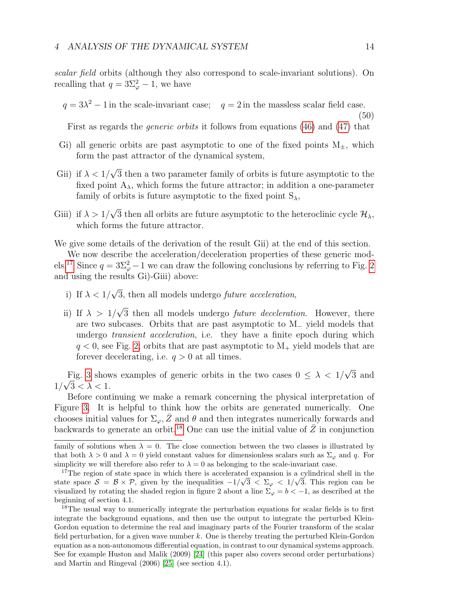scalar field orbits (although they also correspond to scale-invariant solutions). On recalling that  $q = 3\Sigma_{\varphi}^2 - 1$ , we have

 $q = 3\lambda^2 - 1$  in the scale-invariant case;  $q = 2$  in the massless scalar field case.

First as regards the generic orbits it follows from equations [\(46\)](#page-11-2) and [\(47\)](#page-11-3) that

- Gi) all generic orbits are past asymptotic to one of the fixed points  $M_{\pm}$ , which form the past attractor of the dynamical system,
- Gii) if  $\lambda < 1/$ √ 3 then a two parameter family of orbits is future asymptotic to the fixed point  $A_{\lambda}$ , which forms the future attractor; in addition a one-parameter family of orbits is future asymptotic to the fixed point  $S_{\lambda}$ ,
- Giii) if  $\lambda > 1/$ √ 3 then all orbits are future asymptotic to the heteroclinic cycle  $\mathcal{H}_{\lambda}$ , which forms the future attractor.

We give some details of the derivation of the result Gii) at the end of this section.

We now describe the acceleration/deceleration properties of these generic mod-els.<sup>[17](#page-13-0)</sup> Since  $q = 3\Sigma_{\varphi}^2 - 1$  we can draw the following conclusions by referring to Fig. [2](#page-11-0) and using the results Gi)-Giii) above:

- i) If  $\lambda < 1/$ √ 3, then all models undergo *future acceleration*,
- ii) If  $\lambda > 1/$ √ 3 then all models undergo *future deceleration*. However, there are two subcases. Orbits that are past asymptotic to M<sup>−</sup> yield models that undergo *transient acceleration*, i.e. they have a finite epoch during which  $q < 0$ , see Fig. [2;](#page-11-0) orbits that are past asymptotic to  $M_{+}$  yield models that are forever decelerating, i.e.  $q > 0$  at all times.

Fig. [3](#page-14-0) shows examples of generic orbits in the two cases  $0 \leq \lambda < 1/$ √ Fig. 3 shows examples of generic orbits in the two cases  $0 \leq \lambda < 1/\sqrt{3}$  and  $1/\sqrt{3} < \lambda < 1$ .

Before continuing we make a remark concerning the physical interpretation of Figure [3.](#page-14-0) It is helpful to think how the orbits are generated numerically. One chooses initial values for  $\Sigma_{\varphi}, \bar{Z}$  and  $\theta$  and then integrates numerically forwards and backwards to generate an orbit.<sup>[18](#page-13-1)</sup> One can use the initial value of  $\overline{Z}$  in conjunction

(50)

family of solutions when  $\lambda = 0$ . The close connection between the two classes is illustrated by that both  $\lambda > 0$  and  $\lambda = 0$  yield constant values for dimensionless scalars such as  $\Sigma_{\varphi}$  and q. For simplicity we will therefore also refer to  $\lambda = 0$  as belonging to the scale-invariant case.

<span id="page-13-0"></span><sup>&</sup>lt;sup>17</sup>The region of state space in which there is accelerated expansion is a cylindrical shell in the state space  $S = \mathcal{B} \times \mathcal{P}$ , given by the inequalities  $-1/\sqrt{3} < \Sigma_{\varphi} < 1/\sqrt{3}$ . This region can be visualized by rotating the shaded region in figure 2 about a line  $\Sigma_{\varphi} = b < -1$ , as described at the beginning of section 4.1.

<span id="page-13-1"></span><sup>&</sup>lt;sup>18</sup>The usual way to numerically integrate the perturbation equations for scalar fields is to first integrate the background equations, and then use the output to integrate the perturbed Klein-Gordon equation to determine the real and imaginary parts of the Fourier transform of the scalar field perturbation, for a given wave number k. One is thereby treating the perturbed Klein-Gordon equation as a non-autonomous differential equation, in contrast to our dynamical systems approach. See for example Huston and Malik (2009) [\[24\]](#page-27-14) (this paper also covers second order perturbations) and Martin and Ringeval (2006) [\[25\]](#page-27-15) (see section 4.1).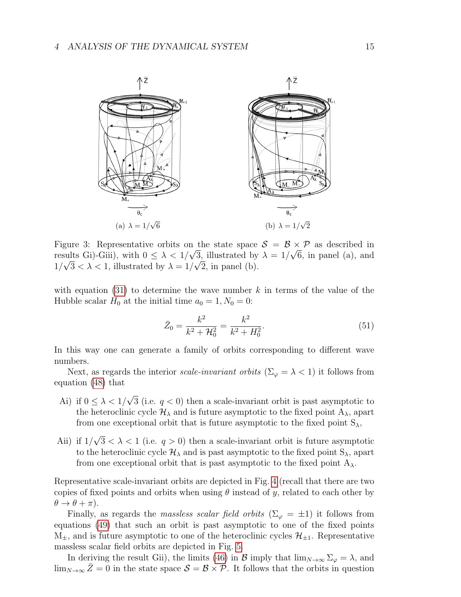

<span id="page-14-0"></span>Figure 3: Representative orbits on the state space  $\mathcal{S} = \mathcal{B} \times \mathcal{P}$  as described in results Gi)-Giii), with  $0 \leq \lambda < 1/\sqrt{3}$ , illustrated by  $\lambda = 1/\sqrt{6}$ , in panel (a), and  $1/\sqrt{3} < \lambda < 1$ , illustrated by  $\lambda = 1/\sqrt{2}$ , in panel (b).

with equation [\(31\)](#page-7-8) to determine the wave number  $k$  in terms of the value of the Hubble scalar  $H_0$  at the initial time  $a_0 = 1, N_0 = 0$ :

$$
\bar{Z}_0 = \frac{k^2}{k^2 + \mathcal{H}_0^2} = \frac{k^2}{k^2 + H_0^2}.
$$
\n(51)

In this way one can generate a family of orbits corresponding to different wave numbers.

Next, as regards the interior scale-invariant orbits ( $\Sigma_{\varphi} = \lambda < 1$ ) it follows from equation [\(48\)](#page-11-4) that

- Ai) if  $0 \leq \lambda < 1/$ √ 3 (i.e.  $q < 0$ ) then a scale-invariant orbit is past asymptotic to the heteroclinic cycle  $\mathcal{H}_{\lambda}$  and is future asymptotic to the fixed point  $A_{\lambda}$ , apart from one exceptional orbit that is future asymptotic to the fixed point  $S_{\lambda}$ ,
- Aii) if  $1/$ √  $3 < \lambda < 1$  (i.e.  $q > 0$ ) then a scale-invariant orbit is future asymptotic to the heteroclinic cycle  $\mathcal{H}_{\lambda}$  and is past asymptotic to the fixed point  $S_{\lambda}$ , apart from one exceptional orbit that is past asymptotic to the fixed point  $A_{\lambda}$ .

Representative scale-invariant orbits are depicted in Fig. [4](#page-15-0) (recall that there are two copies of fixed points and orbits when using  $\theta$  instead of y, related to each other by  $\theta \rightarrow \theta + \pi$ ).

Finally, as regards the massless scalar field orbits  $(\Sigma_{\varphi} = \pm 1)$  it follows from equations [\(49\)](#page-11-5) that such an orbit is past asymptotic to one of the fixed points  $M_{\pm}$ , and is future asymptotic to one of the heteroclinic cycles  $\mathcal{H}_{\pm 1}$ . Representative massless scalar field orbits are depicted in Fig. [5.](#page-15-1)

In deriving the result Gii), the limits [\(46\)](#page-11-2) in B imply that  $\lim_{N\to\infty}\Sigma_{\varphi}=\lambda$ , and  $\lim_{N\to\infty}\bar{Z}=0$  in the state space  $\mathcal{S}=\mathcal{B}\times\mathcal{P}$ . It follows that the orbits in question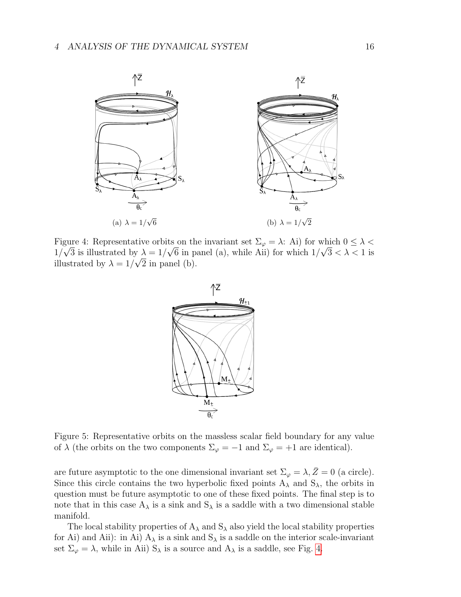

<span id="page-15-0"></span>Figure 4: Representative orbits on the invariant set  $\Sigma_{\varphi} = \lambda$ : Ai) for which  $0 \leq \lambda < \frac{1}{\sqrt{2}}$  $1/\sqrt{3}$  is illustrated by  $\lambda = 1/\sqrt{6}$  in panel (a), while Aii) for which  $1/\sqrt{3} < \lambda < 1$  is illustrated by  $\lambda = 1/\sqrt{2}$  in panel (b).



<span id="page-15-1"></span>Figure 5: Representative orbits on the massless scalar field boundary for any value of  $\lambda$  (the orbits on the two components  $\Sigma_{\varphi} = -1$  and  $\Sigma_{\varphi} = +1$  are identical).

are future asymptotic to the one dimensional invariant set  $\Sigma_{\varphi} = \lambda, \bar{Z} = 0$  (a circle). Since this circle contains the two hyperbolic fixed points  $A_{\lambda}$  and  $S_{\lambda}$ , the orbits in question must be future asymptotic to one of these fixed points. The final step is to note that in this case  $A_{\lambda}$  is a sink and  $S_{\lambda}$  is a saddle with a two dimensional stable manifold.

The local stability properties of  $A_{\lambda}$  and  $S_{\lambda}$  also yield the local stability properties for Ai) and Aii): in Ai)  $A_{\lambda}$  is a sink and  $S_{\lambda}$  is a saddle on the interior scale-invariant set  $\Sigma_{\varphi} = \lambda$ , while in Aii)  $S_{\lambda}$  is a source and  $A_{\lambda}$  is a saddle, see Fig. [4.](#page-15-0)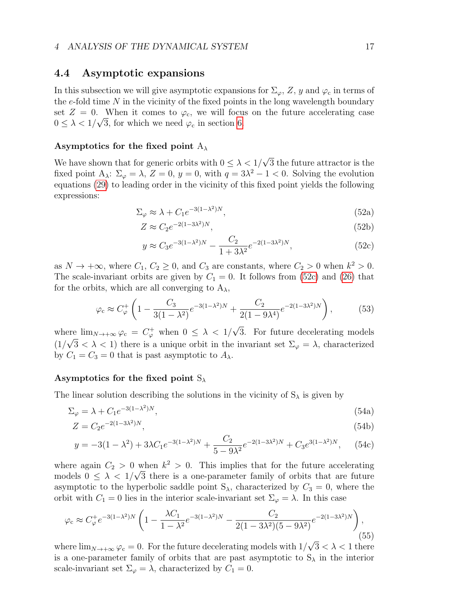### <span id="page-16-1"></span>4.4 Asymptotic expansions

In this subsection we will give asymptotic expansions for  $\Sigma_{\varphi}$ , Z, y and  $\varphi_c$  in terms of the  $e$ -fold time  $N$  in the vicinity of the fixed points in the long wavelength boundary set  $Z = 0$ . When it comes to  $\varphi_c$ , we will focus on the future accelerating case  $0 \leq \lambda < 1/\sqrt{3}$ , for which we need  $\varphi_c$  in section [6.](#page-20-0)

#### Asymptotics for the fixed point  $A_{\lambda}$

We have shown that for generic orbits with  $0 \leq \lambda < 1/$ √ 3 the future attractor is the fixed point  $A_{\lambda}$ :  $\Sigma_{\varphi} = \lambda$ ,  $Z = 0$ ,  $y = 0$ , with  $q = 3\lambda^2 - 1 < 0$ . Solving the evolution equations [\(29\)](#page-6-3) to leading order in the vicinity of this fixed point yields the following expressions:

$$
\Sigma_{\varphi} \approx \lambda + C_1 e^{-3(1-\lambda^2)N},\tag{52a}
$$

$$
Z \approx C_2 e^{-2(1-3\lambda^2)N},\tag{52b}
$$

<span id="page-16-0"></span>
$$
y \approx C_3 e^{-3(1-\lambda^2)N} - \frac{C_2}{1+3\lambda^2} e^{-2(1-3\lambda^2)N},
$$
\n(52c)

as  $N \to +\infty$ , where  $C_1, C_2 \ge 0$ , and  $C_3$  are constants, where  $C_2 > 0$  when  $k^2 > 0$ . The scale-invariant orbits are given by  $C_1 = 0$ . It follows from [\(52c\)](#page-16-0) and [\(26\)](#page-6-5) that for the orbits, which are all converging to  $A_{\lambda}$ ,

$$
\varphi_c \approx C_{\varphi}^+ \left( 1 - \frac{C_3}{3(1 - \lambda^2)} e^{-3(1 - \lambda^2)N} + \frac{C_2}{2(1 - 9\lambda^4)} e^{-2(1 - 3\lambda^2)N} \right),\tag{53}
$$

where  $\lim_{N\to+\infty}\varphi_c = C^+_{\varphi}$  when  $0 \leq \lambda < 1/$ ere  $\lim_{N \to +\infty} \varphi_c = C^+_{\varphi}$  when  $0 \leq \lambda < 1/\sqrt{3}$ . For future decelerating models  $(1/\sqrt{3} < \lambda < 1)$  there is a unique orbit in the invariant set  $\Sigma_{\varphi} = \lambda$ , characterized by  $C_1 = C_3 = 0$  that is past asymptotic to  $A_\lambda$ .

#### Asymptotics for the fixed point  $S_{\lambda}$

The linear solution describing the solutions in the vicinity of  $S_\lambda$  is given by

$$
\Sigma_{\varphi} = \lambda + C_1 e^{-3(1-\lambda^2)N},\tag{54a}
$$

$$
Z = C_2 e^{-2(1-3\lambda^2)N},\tag{54b}
$$

$$
y = -3(1 - \lambda^2) + 3\lambda C_1 e^{-3(1 - \lambda^2)N} + \frac{C_2}{5 - 9\lambda^2} e^{-2(1 - 3\lambda^2)N} + C_3 e^{3(1 - \lambda^2)N}, \quad (54c)
$$

where again  $C_2 > 0$  when  $k^2 > 0$ . This implies that for the future accelerating models  $0 \leq \lambda < 1/\sqrt{3}$  there is a one-parameter family of orbits that are future asymptotic to the hyperbolic saddle point  $S_{\lambda}$ , characterized by  $C_3 = 0$ , where the orbit with  $C_1 = 0$  lies in the interior scale-invariant set  $\Sigma_{\varphi} = \lambda$ . In this case

$$
\varphi_c \approx C_{\varphi}^+ e^{-3(1-\lambda^2)N} \left( 1 - \frac{\lambda C_1}{1-\lambda^2} e^{-3(1-\lambda^2)N} - \frac{C_2}{2(1-3\lambda^2)(5-9\lambda^2)} e^{-2(1-3\lambda^2)N} \right),\tag{55}
$$

where  $\lim_{N\to+\infty}\varphi_{\rm c}=0$ . For the future decelerating models with  $1/$  $3 < \lambda < 1$  there is a one-parameter family of orbits that are past asymptotic to  $S_\lambda$  in the interior scale-invariant set  $\Sigma_{\varphi} = \lambda$ , characterized by  $C_1 = 0$ .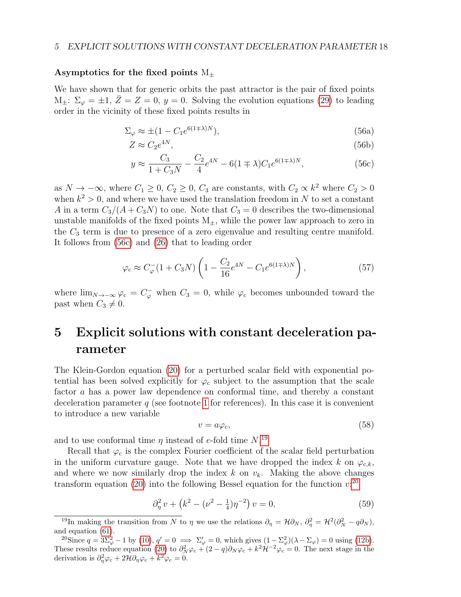#### Asymptotics for the fixed points  $M_{\pm}$

We have shown that for generic orbits the past attractor is the pair of fixed points  $M_{\pm}: \Sigma_{\varphi} = \pm 1, Z = Z = 0, y = 0.$  Solving the evolution equations [\(29\)](#page-6-3) to leading order in the vicinity of these fixed points results in

$$
\Sigma_{\varphi} \approx \pm (1 - C_1 e^{6(1 \mp \lambda)N}),\tag{56a}
$$

$$
Z \approx C_2 e^{4N},\tag{56b}
$$

<span id="page-17-1"></span>
$$
y \approx \frac{C_3}{1 + C_3 N} - \frac{C_2}{4} e^{4N} - 6(1 \mp \lambda) C_1 e^{6(1 \mp \lambda)N},
$$
\n(56c)

as  $N \to -\infty$ , where  $C_1 \geq 0$ ,  $C_2 \geq 0$ ,  $C_3$  are constants, with  $C_2 \propto k^2$  where  $C_2 > 0$ when  $k^2 > 0$ , and where we have used the translation freedom in N to set a constant A in a term  $C_3/(A+C_3N)$  to one. Note that  $C_3=0$  describes the two-dimensional unstable manifolds of the fixed points  $M_{\pm}$ , while the power law approach to zero in the  $C_3$  term is due to presence of a zero eigenvalue and resulting centre manifold. It follows from [\(56c\)](#page-17-1) and [\(26\)](#page-6-5) that to leading order

$$
\varphi_c \approx C_{\varphi}^{-} (1 + C_3 N) \left( 1 - \frac{C_2}{16} e^{4N} - C_1 e^{6(1 + \lambda)N} \right),\tag{57}
$$

where  $\lim_{N\to-\infty}\varphi_c = C_{\varphi}^-$  when  $C_3 = 0$ , while  $\varphi_c$  becomes unbounded toward the past when  $C_3 \neq 0$ .

# <span id="page-17-0"></span>5 Explicit solutions with constant deceleration parameter

The Klein-Gordon equation [\(20\)](#page-5-2) for a perturbed scalar field with exponential potential has been solved explicitly for  $\varphi_c$  subject to the assumption that the scale factor a has a power law dependence on conformal time, and thereby a constant deceleration parameter q (see footnote [1](#page-1-0) for references). In this case it is convenient to introduce a new variable

$$
v = a\varphi_c,\tag{58}
$$

and to use conformal time  $\eta$  instead of e-fold time  $N$ <sup>[19](#page-17-2)</sup>

Recall that  $\varphi_c$  is the complex Fourier coefficient of the scalar field perturbation in the uniform curvature gauge. Note that we have dropped the index k on  $\varphi_{c,k}$ , and where we now similarly drop the index  $k$  on  $v_k$ . Making the above changes transform equation [\(20\)](#page-5-2) into the following Bessel equation for the function  $v:^{20}$  $v:^{20}$  $v:^{20}$ 

<span id="page-17-4"></span>
$$
\partial_{\eta}^{2} v + \left(k^{2} - (\nu^{2} - \frac{1}{4})\eta^{-2}\right)v = 0, \tag{59}
$$

<span id="page-17-2"></span><sup>&</sup>lt;sup>19</sup>In making the transition from N to  $\eta$  we use the relations  $\partial_{\eta} = \mathcal{H} \partial_N$ ,  $\partial_{\eta}^2 = \mathcal{H}^2 (\partial_N^2 - q \partial_N)$ , and equation [\(61\)](#page-18-0).

<span id="page-17-3"></span><sup>&</sup>lt;sup>20</sup>Since  $q = 3\Sigma_{\varphi}^2 - 1$  by [\(10\)](#page-3-9),  $q' = 0 \implies \Sigma_{\varphi}' = 0$ , which gives  $(1 - \Sigma_{\varphi}^2)(\lambda - \Sigma_{\varphi}) = 0$  using [\(12b\)](#page-3-12). These results reduce equation [\(20\)](#page-5-2) to  $\partial_N^2 \varphi_c + (2-q)\partial_N \varphi_c + k^2 \mathcal{H}^{-2} \varphi_c = 0$ . The next stage in the derivation is  $\partial_{\eta}^{2} \varphi_{c} + 2\mathcal{H} \partial_{\eta} \varphi_{c} + k^{2} \varphi_{c} = 0.$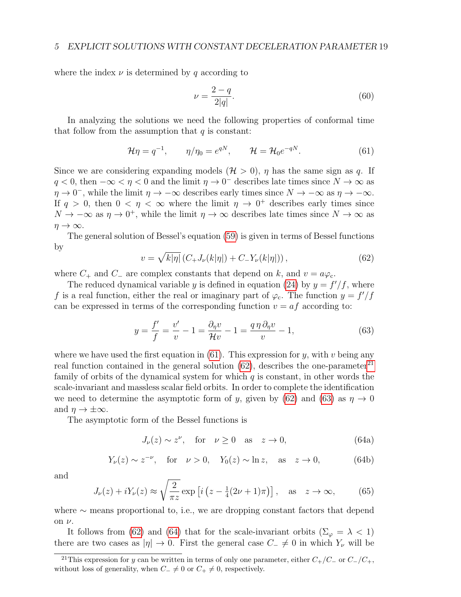where the index  $\nu$  is determined by q according to

$$
\nu = \frac{2 - q}{2|q|}.\tag{60}
$$

In analyzing the solutions we need the following properties of conformal time that follow from the assumption that  $q$  is constant:

<span id="page-18-0"></span>
$$
\mathcal{H}\eta = q^{-1}, \qquad \eta/\eta_0 = e^{qN}, \qquad \mathcal{H} = \mathcal{H}_0 e^{-qN}.
$$
 (61)

Since we are considering expanding models  $(\mathcal{H} > 0)$ ,  $\eta$  has the same sign as q. If  $q < 0$ , then  $-\infty < \eta < 0$  and the limit  $\eta \to 0^-$  describes late times since  $N \to \infty$  as  $\eta \to 0^-$ , while the limit  $\eta \to -\infty$  describes early times since  $N \to -\infty$  as  $\eta \to -\infty$ . If  $q > 0$ , then  $0 < \eta < \infty$  where the limit  $\eta \to 0^+$  describes early times since  $N \to -\infty$  as  $\eta \to 0^+$ , while the limit  $\eta \to \infty$  describes late times since  $N \to \infty$  as  $\eta \to \infty$ .

The general solution of Bessel's equation [\(59\)](#page-17-4) is given in terms of Bessel functions by

<span id="page-18-1"></span>
$$
v = \sqrt{k|\eta|} (C_+ J_\nu(k|\eta|) + C_- Y_\nu(k|\eta|)), \qquad (62)
$$

where  $C_+$  and  $C_-$  are complex constants that depend on k, and  $v = a\varphi_c$ .

The reduced dynamical variable y is defined in equation [\(24\)](#page-5-6) by  $y = f'/f$ , where f is a real function, either the real or imaginary part of  $\varphi_c$ . The function  $y = f'/f$ can be expressed in terms of the corresponding function  $v = af$  according to:

<span id="page-18-3"></span>
$$
y = \frac{f'}{f} = \frac{v'}{v} - 1 = \frac{\partial_{\eta}v}{\mathcal{H}v} - 1 = \frac{q\eta\,\partial_{\eta}v}{v} - 1,\tag{63}
$$

where we have used the first equation in  $(61)$ . This expression for y, with v being any real function contained in the general solution  $(62)$ , describes the one-parameter<sup>[21](#page-18-2)</sup> family of orbits of the dynamical system for which  $q$  is constant, in other words the scale-invariant and massless scalar field orbits. In order to complete the identification we need to determine the asymptotic form of y, given by [\(62\)](#page-18-1) and [\(63\)](#page-18-3) as  $\eta \to 0$ and  $\eta \to \pm \infty$ .

The asymptotic form of the Bessel functions is

<span id="page-18-4"></span>
$$
J_{\nu}(z) \sim z^{\nu}, \quad \text{for} \quad \nu \ge 0 \quad \text{as} \quad z \to 0,
$$
 (64a)

<span id="page-18-6"></span>
$$
Y_{\nu}(z) \sim z^{-\nu}, \quad \text{for} \quad \nu > 0, \quad Y_0(z) \sim \ln z, \quad \text{as} \quad z \to 0,
$$
 (64b)

and

<span id="page-18-5"></span>
$$
J_{\nu}(z) + iY_{\nu}(z) \approx \sqrt{\frac{2}{\pi z}} \exp\left[i\left(z - \frac{1}{4}(2\nu + 1)\pi\right)\right], \quad \text{as} \quad z \to \infty,
$$
 (65)

where ∼ means proportional to, i.e., we are dropping constant factors that depend on  $\nu$ .

It follows from [\(62\)](#page-18-1) and [\(64\)](#page-18-4) that for the scale-invariant orbits ( $\Sigma_{\varphi} = \lambda < 1$ ) there are two cases as  $|\eta| \to 0$ . First the general case  $C_-\neq 0$  in which  $Y_\nu$  will be

<span id="page-18-2"></span><sup>&</sup>lt;sup>21</sup>This expression for y can be written in terms of only one parameter, either  $C_{+}/C_{-}$  or  $C_{-}/C_{+}$ , without loss of generality, when  $C_-\neq 0$  or  $C_+\neq 0$ , respectively.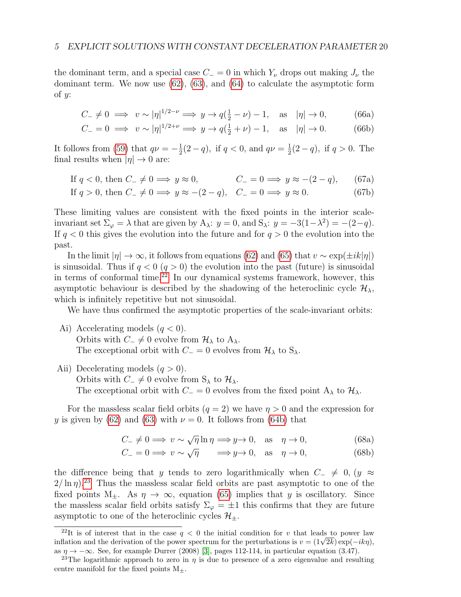the dominant term, and a special case  $C_ = 0$  in which  $Y_{\nu}$  drops out making  $J_{\nu}$  the dominant term. We now use  $(62)$ ,  $(63)$ , and  $(64)$  to calculate the asymptotic form of  $y$ :

$$
C_{-} \neq 0 \implies v \sim |\eta|^{1/2 - \nu} \implies y \to q(\frac{1}{2} - \nu) - 1, \text{ as } |\eta| \to 0,
$$
 (66a)

$$
C_{-} = 0 \implies v \sim |\eta|^{1/2 + \nu} \implies y \to q(\frac{1}{2} + \nu) - 1, \text{ as } |\eta| \to 0. \tag{66b}
$$

It follows from [\(59\)](#page-17-4) that  $q\nu=-\frac{1}{2}$  $\frac{1}{2}(2-q)$ , if  $q < 0$ , and  $q\nu = \frac{1}{2}$  $\frac{1}{2}(2-q)$ , if  $q > 0$ . The final results when  $|\eta| \to 0$  are:

If 
$$
q < 0
$$
, then  $C_- \neq 0 \implies y \approx 0$ ,  $C_- = 0 \implies y \approx -(2 - q)$ , (67a)

If 
$$
q > 0
$$
, then  $C_- \neq 0 \implies y \approx -(2 - q)$ ,  $C_- = 0 \implies y \approx 0$ . (67b)

These limiting values are consistent with the fixed points in the interior scaleinvariant set  $\Sigma_{\varphi} = \lambda$  that are given by  $A_{\lambda}$ :  $y = 0$ , and  $S_{\lambda}$ :  $y = -3(1 - \lambda^2) = -(2 - q)$ . If  $q < 0$  this gives the evolution into the future and for  $q > 0$  the evolution into the past.

In the limit  $|\eta| \to \infty$ , it follows from equations [\(62\)](#page-18-1) and [\(65\)](#page-18-5) that  $v \sim \exp(\pm i k |\eta|)$ is sinusoidal. Thus if  $q < 0$   $(q > 0)$  the evolution into the past (future) is sinusoidal in terms of conformal time. $22$  In our dynamical systems framework, however, this asymptotic behaviour is described by the shadowing of the heteroclinic cycle  $\mathcal{H}_{\lambda}$ , which is infinitely repetitive but not sinusoidal.

We have thus confirmed the asymptotic properties of the scale-invariant orbits:

- Ai) Accelerating models  $(q < 0)$ . Orbits with  $C_-\neq 0$  evolve from  $\mathcal{H}_{\lambda}$  to  $A_{\lambda}$ . The exceptional orbit with  $C = 0$  evolves from  $\mathcal{H}_{\lambda}$  to  $S_{\lambda}$ .
- Aii) Decelerating models  $(q > 0)$ .

Orbits with  $C_-\neq 0$  evolve from S<sub>λ</sub> to  $\mathcal{H}_{\lambda}$ .

The exceptional orbit with  $C = 0$  evolves from the fixed point A<sub>λ</sub> to  $\mathcal{H}_{\lambda}$ .

For the massless scalar field orbits  $(q = 2)$  we have  $q > 0$  and the expression for y is given by [\(62\)](#page-18-1) and [\(63\)](#page-18-3) with  $\nu = 0$ . It follows from [\(64b\)](#page-18-6) that

$$
C_{-} \neq 0 \implies v \sim \sqrt{\eta} \ln \eta \implies y \to 0, \quad \text{as} \quad \eta \to 0,
$$
 (68a)

$$
C_{-} = 0 \Longrightarrow v \sim \sqrt{\eta} \qquad \Longrightarrow y \to 0, \quad \text{as} \quad \eta \to 0,
$$
 (68b)

the difference being that y tends to zero logarithmically when  $C_-\neq 0, (y \approx$  $2/\ln \eta$ <sup>[23](#page-19-1)</sup> Thus the massless scalar field orbits are past asymptotic to one of the fixed points M<sub>+</sub>. As  $\eta \to \infty$ , equation [\(65\)](#page-18-5) implies that y is oscillatory. Since the massless scalar field orbits satisfy  $\Sigma_{\varphi} = \pm 1$  this confirms that they are future asymptotic to one of the heteroclinic cycles  $\mathcal{H}_+$ .

<span id="page-19-0"></span><sup>&</sup>lt;sup>22</sup>It is of interest that in the case  $q < 0$  the initial condition for v that leads to power law <sup>2</sup>It is of interest that in the case  $q < 0$  the initial condition for v that leads to power law inflation and the derivation of the power spectrum for the perturbations is  $v = (1\sqrt{2k}) \exp(-ik\eta)$ , as  $\eta \to -\infty$ . See, for example Durrer (2008) [\[3\]](#page-26-2), pages 112-114, in particular equation (3.47).

<span id="page-19-1"></span><sup>&</sup>lt;sup>23</sup>The logarithmic approach to zero in  $\eta$  is due to presence of a zero eigenvalue and resulting centre manifold for the fixed points  $M_{\pm}$ .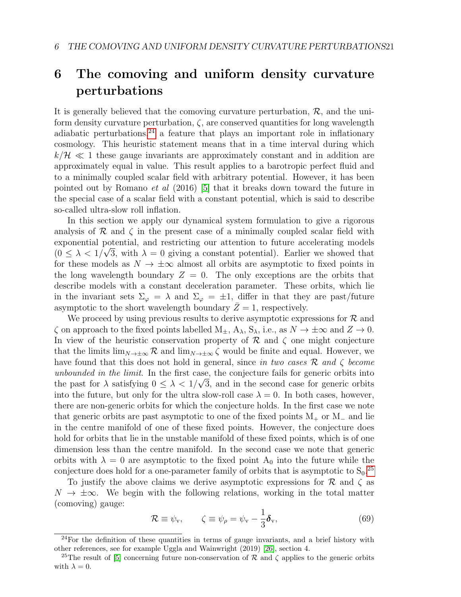# <span id="page-20-0"></span>6 The comoving and uniform density curvature perturbations

It is generally believed that the comoving curvature perturbation,  $\mathcal{R}$ , and the uniform density curvature perturbation,  $\zeta$ , are conserved quantities for long wavelength adiabatic perturbations,  $24$  a feature that plays an important role in inflationary cosmology. This heuristic statement means that in a time interval during which  $k/\mathcal{H} \ll 1$  these gauge invariants are approximately constant and in addition are approximately equal in value. This result applies to a barotropic perfect fluid and to a minimally coupled scalar field with arbitrary potential. However, it has been pointed out by Romano et al (2016) [\[5\]](#page-26-4) that it breaks down toward the future in the special case of a scalar field with a constant potential, which is said to describe so-called ultra-slow roll inflation.

In this section we apply our dynamical system formulation to give a rigorous analysis of  $R$  and  $\zeta$  in the present case of a minimally coupled scalar field with exponential potential, and restricting our attention to future accelerating models  $(0 \leq \lambda < 1/\sqrt{3}$ , with  $\lambda = 0$  giving a constant potential). Earlier we showed that for these models as  $N \to \pm \infty$  almost all orbits are asymptotic to fixed points in the long wavelength boundary  $Z = 0$ . The only exceptions are the orbits that describe models with a constant deceleration parameter. These orbits, which lie in the invariant sets  $\Sigma_{\varphi} = \lambda$  and  $\Sigma_{\varphi} = \pm 1$ , differ in that they are past/future asymptotic to the short wavelength boundary  $\bar{Z}=1$ , respectively.

We proceed by using previous results to derive asymptotic expressions for  $\mathcal{R}$  and  $\zeta$  on approach to the fixed points labelled  $M_+$ ,  $A_\lambda$ ,  $S_\lambda$ , i.e., as  $N \to \pm \infty$  and  $Z \to 0$ . In view of the heuristic conservation property of  $\mathcal R$  and  $\zeta$  one might conjecture that the limits  $\lim_{N\to\pm\infty} \mathcal{R}$  and  $\lim_{N\to\pm\infty} \zeta$  would be finite and equal. However, we have found that this does not hold in general, since in two cases  $\mathcal{R}$  and  $\zeta$  become unbounded in the limit. In the first case, the conjecture fails for generic orbits into the past for  $\lambda$  satisfying  $0 \leq \lambda < 1/\sqrt{3}$ , and in the second case for generic orbits into the future, but only for the ultra slow-roll case  $\lambda = 0$ . In both cases, however, there are non-generic orbits for which the conjecture holds. In the first case we note that generic orbits are past asymptotic to one of the fixed points  $M_+$  or  $M_-\,$  and lie in the centre manifold of one of these fixed points. However, the conjecture does hold for orbits that lie in the unstable manifold of these fixed points, which is of one dimension less than the centre manifold. In the second case we note that generic orbits with  $\lambda = 0$  are asymptotic to the fixed point  $A_0$  into the future while the conjecture does hold for a one-parameter family of orbits that is asymptotic to  $S_0$ .<sup>[25](#page-20-2)</sup>

To justify the above claims we derive asymptotic expressions for  $\mathcal R$  and  $\zeta$  as  $N \to \pm \infty$ . We begin with the following relations, working in the total matter (comoving) gauge:

<span id="page-20-3"></span>
$$
\mathcal{R} \equiv \psi_{\rm v}, \qquad \zeta \equiv \psi_{\rho} = \psi_{\rm v} - \frac{1}{3} \pmb{\delta}_{\rm v}, \tag{69}
$$

<span id="page-20-1"></span> $24$  For the definition of these quantities in terms of gauge invariants, and a brief history with other references, see for example Uggla and Wainwright (2019) [\[26\]](#page-27-16), section 4.

<span id="page-20-2"></span><sup>&</sup>lt;sup>25</sup>The result of [\[5\]](#page-26-4) concerning future non-conservation of R and  $\zeta$  applies to the generic orbits with  $\lambda = 0$ .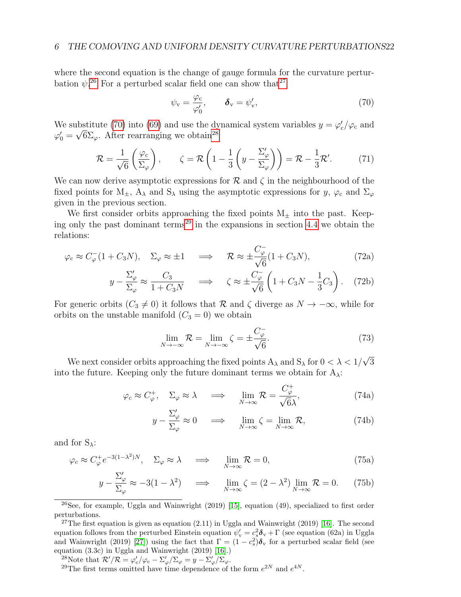where the second equation is the change of gauge formula for the curvature perturbation  $\psi$ <sup>[26](#page-21-0)</sup>. For a perturbed scalar field one can show that<sup>[27](#page-21-1)</sup>

<span id="page-21-2"></span>
$$
\psi_{\mathbf{v}} = \frac{\varphi_{\mathbf{c}}}{\varphi_0'}, \qquad \boldsymbol{\delta}_{\mathbf{v}} = \psi_{\mathbf{v}}', \tag{70}
$$

We substitute [\(70\)](#page-21-2) into [\(69\)](#page-20-3) and use the dynamical system variables  $y = \varphi'_c / \varphi_c$  and  $\varphi'_0 = \sqrt{6} \Sigma_{\varphi}$ . After rearranging we obtain<sup>[28](#page-21-3)</sup>

<span id="page-21-5"></span>
$$
\mathcal{R} = \frac{1}{\sqrt{6}} \left( \frac{\varphi_c}{\Sigma_{\varphi}} \right), \qquad \zeta = \mathcal{R} \left( 1 - \frac{1}{3} \left( y - \frac{\Sigma_{\varphi}'}{\Sigma_{\varphi}} \right) \right) = \mathcal{R} - \frac{1}{3} \mathcal{R}'.
$$
 (71)

We can now derive asymptotic expressions for  $\mathcal R$  and  $\zeta$  in the neighbourhood of the fixed points for  $M_{\pm}$ ,  $A_{\lambda}$  and  $S_{\lambda}$  using the asymptotic expressions for y,  $\varphi_c$  and  $\Sigma_{\varphi}$ given in the previous section.

We first consider orbits approaching the fixed points  $M_{\pm}$  into the past. Keep-ing only the past dominant terms<sup>[29](#page-21-4)</sup> in the expansions in section [4.4](#page-16-1) we obtain the relations:

$$
\varphi_c \approx C_{\varphi}^-(1 + C_3 N), \quad \Sigma_{\varphi} \approx \pm 1 \quad \Longrightarrow \quad \mathcal{R} \approx \pm \frac{C_{\varphi}^-}{\sqrt{6}} (1 + C_3 N), \tag{72a}
$$

$$
y - \frac{\Sigma_{\varphi}'}{\Sigma_{\varphi}} \approx \frac{C_3}{1 + C_3 N} \quad \Longrightarrow \quad \zeta \approx \pm \frac{C_{\varphi}^-}{\sqrt{6}} \left( 1 + C_3 N - \frac{1}{3} C_3 \right). \tag{72b}
$$

For generic orbits ( $C_3 \neq 0$ ) it follows that R and  $\zeta$  diverge as  $N \to -\infty$ , while for orbits on the unstable manifold  $(C_3 = 0)$  we obtain

$$
\lim_{N \to -\infty} \mathcal{R} = \lim_{N \to -\infty} \zeta = \pm \frac{C_{\varphi}^{-}}{\sqrt{6}}.
$$
\n(73)

We next consider orbits approaching the fixed points  $A_{\lambda}$  and  $S_{\lambda}$  for  $0 < \lambda < 1/$ √ 3 into the future. Keeping only the future dominant terms we obtain for  $A_{\lambda}$ :

$$
\varphi_c \approx C_{\varphi}^+, \quad \Sigma_{\varphi} \approx \lambda \quad \implies \quad \lim_{N \to \infty} \mathcal{R} = \frac{C_{\varphi}^+}{\sqrt{6}\lambda}, \tag{74a}
$$

$$
y - \frac{\Sigma_{\varphi}'}{\Sigma_{\varphi}} \approx 0 \quad \Longrightarrow \quad \lim_{N \to \infty} \zeta = \lim_{N \to \infty} \mathcal{R}, \tag{74b}
$$

and for  $S_\lambda$ :

$$
\varphi_c \approx C_{\varphi}^+ e^{-3(1-\lambda^2)N}, \quad \Sigma_{\varphi} \approx \lambda \quad \Longrightarrow \quad \lim_{N \to \infty} \mathcal{R} = 0,
$$
\n(75a)

$$
y - \frac{\Sigma_{\varphi}'}{\Sigma_{\varphi}} \approx -3(1 - \lambda^2) \quad \implies \quad \lim_{N \to \infty} \zeta = (2 - \lambda^2) \lim_{N \to \infty} \mathcal{R} = 0. \tag{75b}
$$

<span id="page-21-0"></span><sup>26</sup>See, for example, Uggla and Wainwright (2019) [\[15\]](#page-27-6), equation (49), specialized to first order perturbations.

<span id="page-21-1"></span><sup>27</sup>The first equation is given as equation  $(2.11)$  in Uggla and Wainwright  $(2019)$  [\[16\]](#page-27-4). The second equation follows from the perturbed Einstein equation  $\psi'_{\rm v} = c_s^2 \delta_{\rm v} + \Gamma$  (see equation (62a) in Uggla and Wainwright (2019) [\[27\]](#page-28-0)) using the fact that  $\Gamma = (1 - c_s^2)\delta_{\rm v}$  for a perturbed scalar field (see equation (3.3c) in Uggla and Wainwright (2019) [\[16\]](#page-27-4).)

<span id="page-21-3"></span><sup>28</sup>Note that  $\mathcal{R}'/\mathcal{R} = \varphi'_{\rm c}/\varphi_{\rm c} - \Sigma'_{\varphi}/\Sigma_{\varphi} = y - \Sigma'_{\varphi}/\Sigma_{\varphi}$ .

<span id="page-21-4"></span><sup>29</sup>The first terms omitted have time dependence of the form  $e^{2N}$  and  $e^{4N}$ .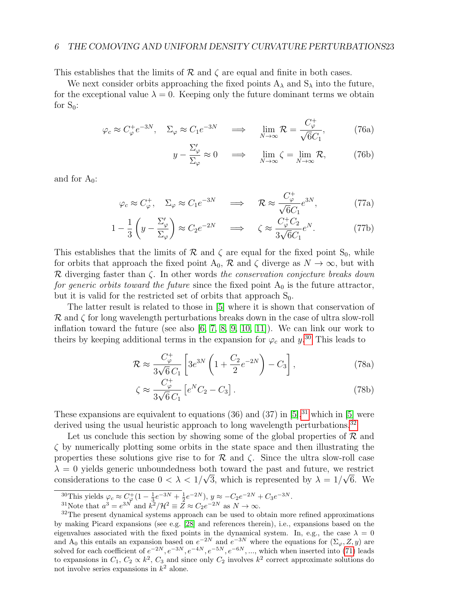#### 6 THE COMOVING AND UNIFORM DENSITY CURVATURE PERTURBATIONS23

This establishes that the limits of  $\mathcal R$  and  $\zeta$  are equal and finite in both cases.

We next consider orbits approaching the fixed points  $A_{\lambda}$  and  $S_{\lambda}$  into the future, for the exceptional value  $\lambda = 0$ . Keeping only the future dominant terms we obtain for  $S_0$ :

$$
\varphi_c \approx C_{\varphi}^+ e^{-3N}, \quad \Sigma_{\varphi} \approx C_1 e^{-3N} \quad \Longrightarrow \quad \lim_{N \to \infty} \mathcal{R} = \frac{C_{\varphi}^+}{\sqrt{6}C_1},\tag{76a}
$$

$$
y - \frac{\Sigma_{\varphi}'}{\Sigma_{\varphi}} \approx 0 \quad \Longrightarrow \quad \lim_{N \to \infty} \zeta = \lim_{N \to \infty} \mathcal{R}, \tag{76b}
$$

and for  $A_0$ :

$$
\varphi_c \approx C_{\varphi}^+, \quad \Sigma_{\varphi} \approx C_1 e^{-3N} \quad \Longrightarrow \quad \mathcal{R} \approx \frac{C_{\varphi}^+}{\sqrt{6}C_1} e^{3N}, \tag{77a}
$$

$$
1 - \frac{1}{3} \left( y - \frac{\Sigma_{\varphi}'}{\Sigma_{\varphi}} \right) \approx C_2 e^{-2N} \quad \Longrightarrow \quad \zeta \approx \frac{C_{\varphi}^+ C_2}{3\sqrt{6}C_1} e^N. \tag{77b}
$$

This establishes that the limits of  $\mathcal R$  and  $\zeta$  are equal for the fixed point S<sub>0</sub>, while for orbits that approach the fixed point  $A_0$ ,  $\mathcal R$  and  $\zeta$  diverge as  $N \to \infty$ , but with R diverging faster than  $\zeta$ . In other words the conservation conjecture breaks down for generic orbits toward the future since the fixed point  $A_0$  is the future attractor, but it is valid for the restricted set of orbits that approach  $S_0$ .

The latter result is related to those in [\[5\]](#page-26-4) where it is shown that conservation of  $\mathcal R$  and  $\zeta$  for long wavelength perturbations breaks down in the case of ultra slow-roll inflation toward the future (see also [\[6,](#page-26-5) [7,](#page-26-6) [8,](#page-26-7) [9,](#page-26-8) [10,](#page-27-0) [11\]](#page-27-1)). We can link our work to theirs by keeping additional terms in the expansion for  $\varphi_c$  and  $y^{30}$  $y^{30}$  $y^{30}$ . This leads to

$$
\mathcal{R} \approx \frac{C_{\varphi}^{+}}{3\sqrt{6}C_{1}} \left[ 3e^{3N} \left( 1 + \frac{C_{2}}{2}e^{-2N} \right) - C_{3} \right],
$$
\n(78a)

$$
\zeta \approx \frac{C_{\varphi}^{+}}{3\sqrt{6}C_{1}} \left[ e^{N}C_{2} - C_{3} \right]. \tag{78b}
$$

These expansions are equivalent to equations  $(36)$  and  $(37)$  in  $[5]$ <sup>[31](#page-22-1)</sup> which in  $[5]$  were derived using the usual heuristic approach to long wavelength perturbations.<sup>[32](#page-22-2)</sup>

Let us conclude this section by showing some of the global properties of  $\mathcal R$  and  $\zeta$  by numerically plotting some orbits in the state space and then illustrating the properties these solutions give rise to for  $R$  and  $\zeta$ . Since the ultra slow-roll case  $\lambda = 0$  yields generic unboundedness both toward the past and future, we restrict considerations to the case  $0 < \lambda < 1/\sqrt{3}$ , which is represented by  $\lambda = 1/\sqrt{6}$ . We

<span id="page-22-0"></span> $^{30}$ This yields  $\varphi_c \approx C_{\varphi}^+(1-\frac{1}{3}e^{-3N}+\frac{1}{2}e^{-2N}), y \approx -C_2e^{-2N}+C_3e^{-3N}.$ 

<span id="page-22-2"></span><span id="page-22-1"></span><sup>&</sup>lt;sup>31</sup>Note that  $a^3 = e^{3N}$  and  $k^2/\mathcal{H}^2 \equiv \overline{Z} \approx C_2 e^{-2N}$  as  $N \to \infty$ .

<sup>&</sup>lt;sup>32</sup>The present dynamical systems approach can be used to obtain more refined approximations by making Picard expansions (see e.g. [\[28\]](#page-28-1) and references therein), i.e., expansions based on the eigenvalues associated with the fixed points in the dynamical system. In, e.g., the case  $\lambda = 0$ and A<sub>0</sub> this entails an expansion based on  $e^{-2N}$  and  $e^{-3N}$  where the equations for  $(\Sigma_{\varphi}, Z, y)$  are solved for each coefficient of  $e^{-2N}$ ,  $e^{-3N}$ ,  $e^{-4N}$ ,  $e^{-5N}$ ,  $e^{-6N}$ , ..., which when inserted into [\(71\)](#page-21-5) leads to expansions in  $C_1, C_2 \propto k^2, C_3$  and since only  $C_2$  involves  $k^2$  correct approximate solutions do not involve series expansions in  $k^2$  alone.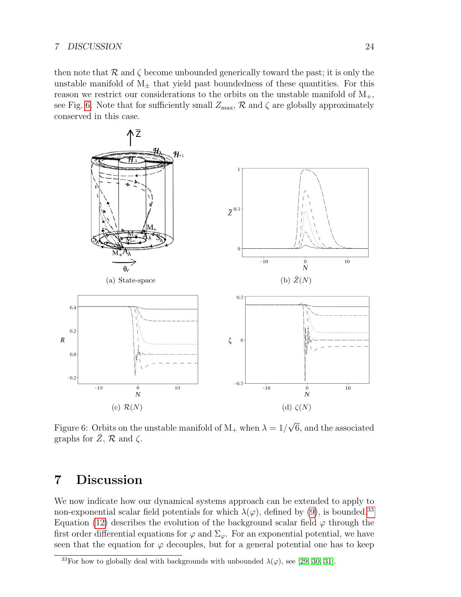#### 7 DISCUSSION 24

then note that  $\mathcal R$  and  $\zeta$  become unbounded generically toward the past; it is only the unstable manifold of  $M_{\pm}$  that yield past boundedness of these quantities. For this reason we restrict our considerations to the orbits on the unstable manifold of  $M_{+}$ , see Fig. [6.](#page-23-1) Note that for sufficiently small  $Z_{\text{max}}$ ,  $\mathcal{R}$  and  $\zeta$  are globally approximately conserved in this case.



<span id="page-23-1"></span>Figure 6: Orbits on the unstable manifold of  $M_+$  when  $\lambda = 1/$ 6, and the associated graphs for  $Z, \mathcal{R}$  and  $\zeta$ .

# <span id="page-23-0"></span>7 Discussion

We now indicate how our dynamical systems approach can be extended to apply to non-exponential scalar field potentials for which  $\lambda(\varphi)$ , defined by [\(9\)](#page-3-6), is bounded.<sup>[33](#page-23-2)</sup> Equation [\(12\)](#page-3-13) describes the evolution of the background scalar field  $\varphi$  through the first order differential equations for  $\varphi$  and  $\Sigma_{\varphi}$ . For an exponential potential, we have seen that the equation for  $\varphi$  decouples, but for a general potential one has to keep

<span id="page-23-2"></span><sup>&</sup>lt;sup>33</sup>For how to globally deal with backgrounds with unbounded  $\lambda(\varphi)$ , see [\[29,](#page-28-2) [30,](#page-28-3) [31\]](#page-28-4).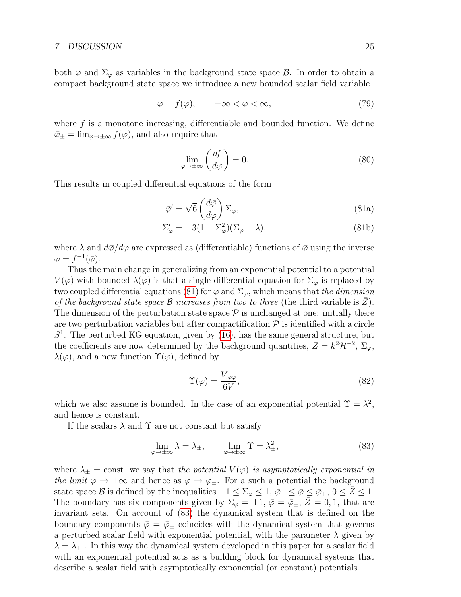both  $\varphi$  and  $\Sigma_{\varphi}$  as variables in the background state space  $\mathcal{B}$ . In order to obtain a compact background state space we introduce a new bounded scalar field variable

<span id="page-24-2"></span>
$$
\bar{\varphi} = f(\varphi), \qquad -\infty < \varphi < \infty,\tag{79}
$$

where  $f$  is a monotone increasing, differentiable and bounded function. We define  $\bar{\varphi}_{\pm} = \lim_{\varphi \to \pm \infty} f(\varphi)$ , and also require that

<span id="page-24-3"></span><span id="page-24-0"></span>
$$
\lim_{\varphi \to \pm \infty} \left( \frac{df}{d\varphi} \right) = 0. \tag{80}
$$

This results in coupled differential equations of the form

$$
\bar{\varphi}' = \sqrt{6} \left( \frac{d\bar{\varphi}}{d\varphi} \right) \Sigma_{\varphi},\tag{81a}
$$

$$
\Sigma'_{\varphi} = -3(1 - \Sigma_{\varphi}^2)(\Sigma_{\varphi} - \lambda),\tag{81b}
$$

where  $\lambda$  and  $d\bar{\varphi}/d\varphi$  are expressed as (differentiable) functions of  $\bar{\varphi}$  using the inverse  $\varphi = f^{-1}(\bar{\varphi}).$ 

Thus the main change in generalizing from an exponential potential to a potential  $V(\varphi)$  with bounded  $\lambda(\varphi)$  is that a single differential equation for  $\Sigma_{\varphi}$  is replaced by two coupled differential equations [\(81\)](#page-24-0) for  $\bar{\varphi}$  and  $\Sigma_{\varphi}$ , which means that the dimension of the background state space  $\mathcal B$  increases from two to three (the third variable is  $Z$ ). The dimension of the perturbation state space  $P$  is unchanged at one: initially there are two perturbation variables but after compactification  $P$  is identified with a circle  $S<sup>1</sup>$ . The perturbed KG equation, given by [\(16\)](#page-4-5), has the same general structure, but the coefficients are now determined by the background quantities,  $Z = k^2 \mathcal{H}^{-2}$ ,  $\Sigma_{\varphi}$ ,  $\lambda(\varphi)$ , and a new function  $\Upsilon(\varphi)$ , defined by

$$
\Upsilon(\varphi) = \frac{V_{,\varphi\varphi}}{6V},\tag{82}
$$

which we also assume is bounded. In the case of an exponential potential  $\Upsilon = \lambda^2$ , and hence is constant.

If the scalars  $\lambda$  and  $\Upsilon$  are not constant but satisfy

<span id="page-24-1"></span>
$$
\lim_{\varphi \to \pm \infty} \lambda = \lambda_{\pm}, \qquad \lim_{\varphi \to \pm \infty} \Upsilon = \lambda_{\pm}^2,\tag{83}
$$

where  $\lambda_{\pm} = \text{const.}$  we say that the potential  $V(\varphi)$  is asymptotically exponential in the limit  $\varphi \to \pm \infty$  and hence as  $\bar{\varphi} \to \bar{\varphi}_{\pm}$ . For a such a potential the background state space B is defined by the inequalities  $-1 \le \Sigma_{\varphi} \le 1$ ,  $\bar{\varphi}_{-} \le \bar{\varphi} \le \bar{\varphi}_{+}$ ,  $0 \le Z \le 1$ . The boundary has six components given by  $\Sigma_{\varphi} = \pm 1$ ,  $\bar{\varphi} = \bar{\varphi}_{\pm}$ ,  $Z = 0, 1$ , that are invariant sets. On account of [\(83\)](#page-24-1) the dynamical system that is defined on the boundary components  $\bar{\varphi} = \bar{\varphi}_{\pm}$  coincides with the dynamical system that governs a perturbed scalar field with exponential potential, with the parameter  $\lambda$  given by  $\lambda = \lambda_{\pm}$ . In this way the dynamical system developed in this paper for a scalar field with an exponential potential acts as a building block for dynamical systems that describe a scalar field with asymptotically exponential (or constant) potentials.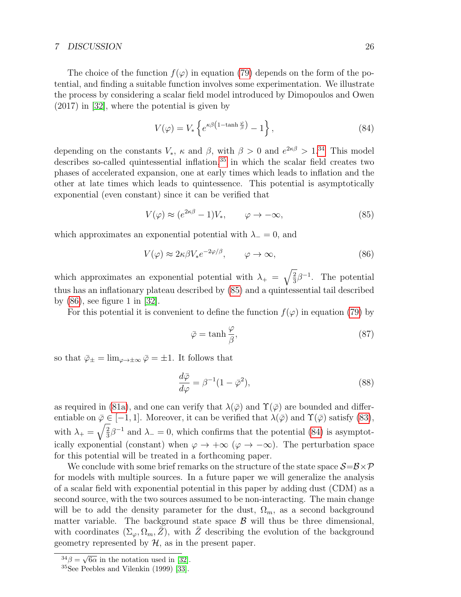#### 7 DISCUSSION 26

The choice of the function  $f(\varphi)$  in equation [\(79\)](#page-24-2) depends on the form of the potential, and finding a suitable function involves some experimentation. We illustrate the process by considering a scalar field model introduced by Dimopoulos and Owen (2017) in [\[32\]](#page-28-5), where the potential is given by

<span id="page-25-4"></span>
$$
V(\varphi) = V_* \left\{ e^{\kappa \beta \left(1 - \tanh \frac{\varphi}{\beta} \right)} - 1 \right\},\tag{84}
$$

depending on the constants  $V_*$ ,  $\kappa$  and  $\beta$ , with  $\beta > 0$  and  $e^{2\kappa \beta} > 1^{34}$  $e^{2\kappa \beta} > 1^{34}$  $e^{2\kappa \beta} > 1^{34}$  This model describes so-called quintessential inflation,<sup>[35](#page-25-1)</sup> in which the scalar field creates two phases of accelerated expansion, one at early times which leads to inflation and the other at late times which leads to quintessence. This potential is asymptotically exponential (even constant) since it can be verified that

<span id="page-25-2"></span>
$$
V(\varphi) \approx (e^{2\kappa \beta} - 1)V_*, \qquad \varphi \to -\infty,
$$
 (85)

which approximates an exponential potential with  $\lambda_0 = 0$ , and

<span id="page-25-3"></span>
$$
V(\varphi) \approx 2\kappa \beta V_* e^{-2\varphi/\beta}, \qquad \varphi \to \infty,
$$
 (86)

which approximates an exponential potential with  $\lambda_{+} = \sqrt{\frac{2}{3}}$  $\frac{2}{3}\beta^{-1}$ . The potential thus has an inflationary plateau described by [\(85\)](#page-25-2) and a quintessential tail described by [\(86\)](#page-25-3), see figure 1 in [\[32\]](#page-28-5).

For this potential it is convenient to define the function  $f(\varphi)$  in equation [\(79\)](#page-24-2) by

$$
\bar{\varphi} = \tanh\frac{\varphi}{\beta},\tag{87}
$$

so that  $\bar{\varphi}_{\pm} = \lim_{\varphi \to \pm \infty} \bar{\varphi} = \pm 1$ . It follows that

$$
\frac{d\bar{\varphi}}{d\varphi} = \beta^{-1}(1 - \bar{\varphi}^2),\tag{88}
$$

as required in [\(81a\)](#page-24-3), and one can verify that  $\lambda(\bar{\varphi})$  and  $\Upsilon(\bar{\varphi})$  are bounded and differentiable on  $\bar{\varphi} \in [-1, 1]$ . Moreover, it can be verified that  $\lambda(\bar{\varphi})$  and  $\Upsilon(\bar{\varphi})$  satisfy [\(83\)](#page-24-1), with  $\lambda_+ = \sqrt{\frac{2}{3}}$  $\frac{2}{3}\beta^{-1}$  and  $\lambda = 0$ , which confirms that the potential [\(84\)](#page-25-4) is asymptotically exponential (constant) when  $\varphi \to +\infty$  ( $\varphi \to -\infty$ ). The perturbation space for this potential will be treated in a forthcoming paper.

We conclude with some brief remarks on the structure of the state space  $S = B \times P$ for models with multiple sources. In a future paper we will generalize the analysis of a scalar field with exponential potential in this paper by adding dust (CDM) as a second source, with the two sources assumed to be non-interacting. The main change will be to add the density parameter for the dust,  $\Omega_m$ , as a second background matter variable. The background state space  $\beta$  will thus be three dimensional, with coordinates  $(\Sigma_{\varphi}, \Omega_m, Z)$ , with Z describing the evolution of the background geometry represented by  $H$ , as in the present paper.

<span id="page-25-0"></span> $\frac{34}{\beta} = \sqrt{}$  $6\alpha$  in the notation used in [\[32\]](#page-28-5).

<span id="page-25-1"></span><sup>35</sup>See Peebles and Vilenkin (1999) [\[33\]](#page-28-6).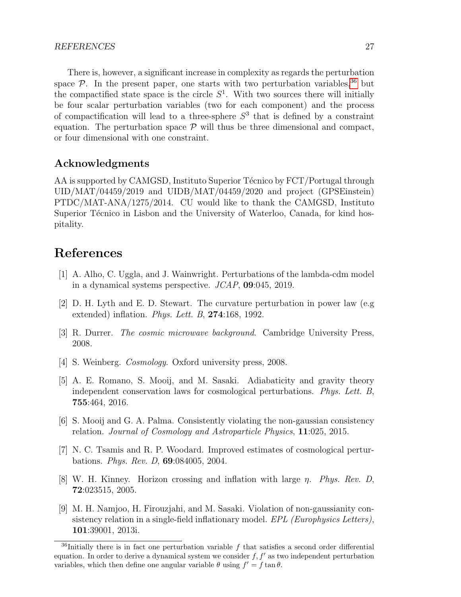There is, however, a significant increase in complexity as regards the perturbation space  $\mathcal{P}$ . In the present paper, one starts with two perturbation variables, <sup>[36](#page-26-9)</sup> but the compactified state space is the circle  $S<sup>1</sup>$ . With two sources there will initially be four scalar perturbation variables (two for each component) and the process of compactification will lead to a three-sphere  $S<sup>3</sup>$  that is defined by a constraint equation. The perturbation space  $P$  will thus be three dimensional and compact, or four dimensional with one constraint.

## Acknowledgments

AA is supported by CAMGSD, Instituto Superior Técnico by FCT/Portugal through UID/MAT/04459/2019 and UIDB/MAT/04459/2020 and project (GPSEinstein) PTDC/MAT-ANA/1275/2014. CU would like to thank the CAMGSD, Instituto Superior Técnico in Lisbon and the University of Waterloo, Canada, for kind hospitality.

## References

- <span id="page-26-0"></span>[1] A. Alho, C. Uggla, and J. Wainwright. Perturbations of the lambda-cdm model in a dynamical systems perspective. JCAP, 09:045, 2019.
- <span id="page-26-1"></span>[2] D. H. Lyth and E. D. Stewart. The curvature perturbation in power law (e.g extended) inflation. Phys. Lett. B,  $274:168$ , 1992.
- <span id="page-26-2"></span>[3] R. Durrer. The cosmic microwave background. Cambridge University Press, 2008.
- <span id="page-26-3"></span>[4] S. Weinberg. Cosmology. Oxford university press, 2008.
- <span id="page-26-4"></span>[5] A. E. Romano, S. Mooij, and M. Sasaki. Adiabaticity and gravity theory independent conservation laws for cosmological perturbations. Phys. Lett. B, 755:464, 2016.
- <span id="page-26-5"></span>[6] S. Mooij and G. A. Palma. Consistently violating the non-gaussian consistency relation. Journal of Cosmology and Astroparticle Physics, 11:025, 2015.
- <span id="page-26-6"></span>[7] N. C. Tsamis and R. P. Woodard. Improved estimates of cosmological perturbations. Phys. Rev. D, 69:084005, 2004.
- <span id="page-26-7"></span>[8] W. H. Kinney. Horizon crossing and inflation with large  $\eta$ . Phys. Rev. D, 72:023515, 2005.
- <span id="page-26-8"></span>[9] M. H. Namjoo, H. Firouzjahi, and M. Sasaki. Violation of non-gaussianity consistency relation in a single-field inflationary model. EPL (Europhysics Letters), 101:39001, 2013i.

<span id="page-26-9"></span> $36$ Initially there is in fact one perturbation variable f that satisfies a second order differential equation. In order to derive a dynamical system we consider  $f, f'$  as two independent perturbation variables, which then define one angular variable  $\theta$  using  $f' = f \tan \theta$ .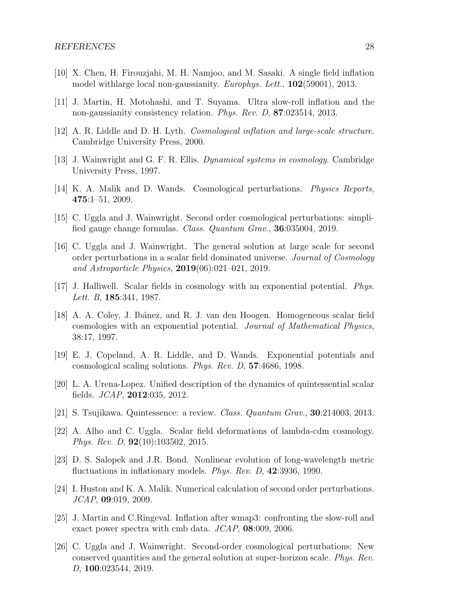- <span id="page-27-0"></span>[10] X. Chen, H. Firouzjahi, M. H. Namjoo, and M. Sasaki. A single field inflation model with large local non-gaussianity. *Europhys. Lett.*, **102**(59001), 2013.
- <span id="page-27-1"></span>[11] J. Martin, H. Motohashi, and T. Suyama. Ultra slow-roll inflation and the non-gaussianity consistency relation. *Phys. Rev. D*, **87**:023514, 2013.
- <span id="page-27-2"></span>[12] A. R. Liddle and D. H. Lyth. Cosmological inflation and large-scale structure. Cambridge University Press, 2000.
- <span id="page-27-3"></span>[13] J. Wainwright and G. F. R. Ellis. Dynamical systems in cosmology. Cambridge University Press, 1997.
- <span id="page-27-5"></span>[14] K. A. Malik and D. Wands. Cosmological perturbations. Physics Reports, 475:1–51, 2009.
- <span id="page-27-6"></span>[15] C. Uggla and J. Wainwright. Second order cosmological perturbations: simplified gauge change formulas. Class. Quantum Grav., 36:035004, 2019.
- <span id="page-27-4"></span>[16] C. Uggla and J. Wainwright. The general solution at large scale for second order perturbations in a scalar field dominated universe. Journal of Cosmology and Astroparticle Physics,  $2019(06):021-021$ , 2019.
- <span id="page-27-7"></span>[17] J. Halliwell. Scalar fields in cosmology with an exponential potential. Phys. Lett. B, **185**:341, 1987.
- <span id="page-27-8"></span>[18] A. A. Coley, J. Ib´anez, and R. J. van den Hoogen. Homogeneous scalar field cosmologies with an exponential potential. Journal of Mathematical Physics, 38:17, 1997.
- <span id="page-27-9"></span>[19] E. J. Copeland, A. R. Liddle, and D. Wands. Exponential potentials and cosmological scaling solutions. Phys. Rev. D, 57:4686, 1998.
- <span id="page-27-11"></span>[20] L. A. Urena-Lopez. Unified description of the dynamics of quintessential scalar fields. JCAP, 2012:035, 2012.
- <span id="page-27-12"></span>[21] S. Tsujikawa. Quintessence: a review. Class. Quantum Grav., 30:214003, 2013.
- <span id="page-27-13"></span>[22] A. Alho and C. Uggla. Scalar field deformations of lambda-cdm cosmology. Phys. Rev. D, 92(10):103502, 2015.
- <span id="page-27-10"></span>[23] D. S. Salopek and J.R. Bond. Nonlinear evolution of long-wavelength metric fluctuations in inflationary models. *Phys. Rev. D*, 42:3936, 1990.
- <span id="page-27-14"></span>[24] I. Huston and K. A. Malik. Numerical calculation of second order perturbations. JCAP, 09:019, 2009.
- <span id="page-27-15"></span>[25] J. Martin and C.Ringeval. Inflation after wmap3: confronting the slow-roll and exact power spectra with cmb data.  $JCAP$ , 08:009, 2006.
- <span id="page-27-16"></span>[26] C. Uggla and J. Wainwright. Second-order cosmological perturbations: New conserved quantities and the general solution at super-horizon scale. Phys. Rev. D, 100:023544, 2019.